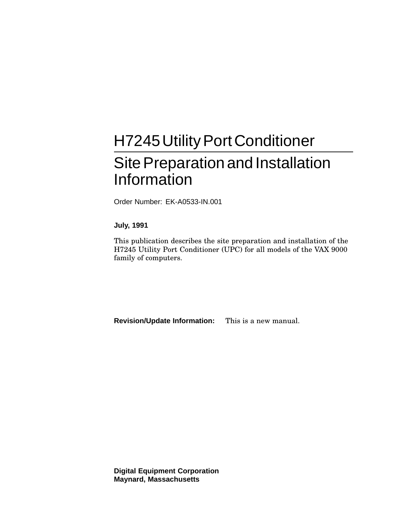# **H7245 Utility Port Conditioner** Site Preparation and Installation Information

Order Number: EK-A0533-IN.001

**July, 1991**

This publication describes the site preparation and installation of the H7245 Utility Port Conditioner (UPC) for all models of the VAX 9000 family of computers.

**Revision/Update Information:** This is a new manual.

**Digital Equipment Corporation Maynard, Massachusetts**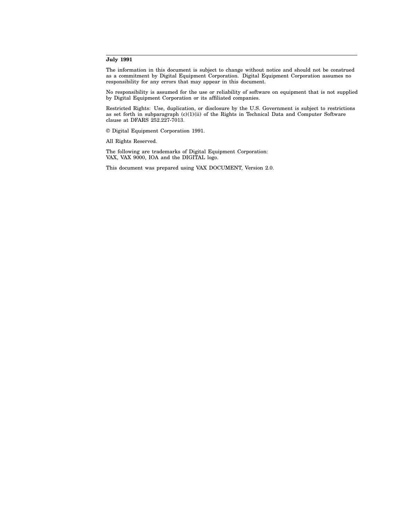#### **July 1991**

The information in this document is subject to change without notice and should not be construed as a commitment by Digital Equipment Corporation. Digital Equipment Corporation assumes no responsibility for any errors that may appear in this document.

No responsibility is assumed for the use or reliability of software on equipment that is not supplied by Digital Equipment Corporation or its affiliated companies.

Restricted Rights: Use, duplication, or disclosure by the U.S. Government is subject to restrictions as set forth in subparagraph  $(c)(1)(ii)$  of the Rights in Technical Data and Computer Software clause at DFARS 252.227-7013.

© Digital Equipment Corporation 1991.

All Rights Reserved.

The following are trademarks of Digital Equipment Corporation: VAX, VAX 9000, IOA and the DIGITAL logo.

This document was prepared using VAX DOCUMENT, Version 2.0.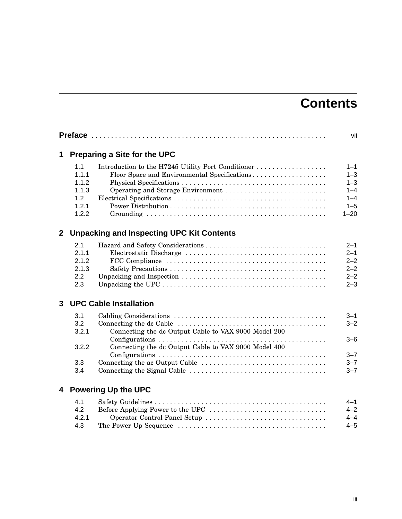# **Contents**

|              |                                                         |                                                                                                                                         | vii                                                                        |
|--------------|---------------------------------------------------------|-----------------------------------------------------------------------------------------------------------------------------------------|----------------------------------------------------------------------------|
| 1            |                                                         | Preparing a Site for the UPC                                                                                                            |                                                                            |
|              | 1.1<br>1.1.1<br>1.1.2<br>1.1.3<br>1.2<br>1.2.1<br>1.2.2 | Introduction to the H7245 Utility Port Conditioner<br>Floor Space and Environmental Specifications<br>Operating and Storage Environment | $1 - 1$<br>$1 - 3$<br>$1 - 3$<br>$1 - 4$<br>$1 - 4$<br>$1 - 5$<br>$1 - 20$ |
| $\mathbf{2}$ |                                                         | <b>Unpacking and Inspecting UPC Kit Contents</b>                                                                                        |                                                                            |
|              | 2.1<br>2.1.1<br>2.1.2<br>2.1.3<br>2.2<br>2.3            |                                                                                                                                         | $2 - 1$<br>$2 - 1$<br>$2 - 2$<br>$2 - 2$<br>$2 - 2$<br>$2 - 3$             |
| 3            |                                                         | <b>UPC Cable Installation</b>                                                                                                           |                                                                            |
|              | 3.1<br>3.2<br>3.2.1                                     | Connecting the dc Output Cable to VAX 9000 Model 200                                                                                    | $3 - 1$<br>$3 - 2$                                                         |
|              | 3.2.2                                                   | Connecting the dc Output Cable to VAX 9000 Model 400                                                                                    | $3 - 6$<br>$3 - 7$                                                         |
|              | 3.3<br>3.4                                              |                                                                                                                                         | $3 - 7$<br>$3 - 7$                                                         |
| 4            |                                                         | <b>Powering Up the UPC</b>                                                                                                              |                                                                            |
|              | 4.1<br>4.2<br>4.2.1<br>4.3                              | Operator Control Panel Setup                                                                                                            | 4–1<br>$4 - 2$<br>$4 - 4$<br>$4 - 5$                                       |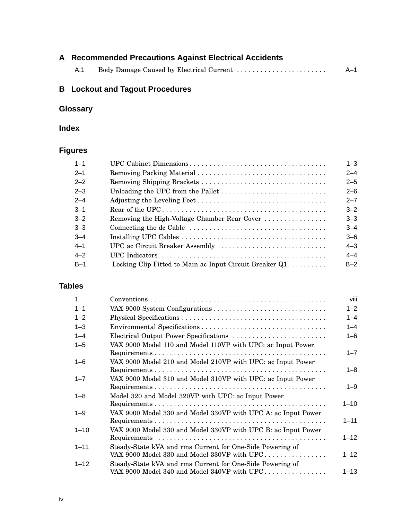| A Recommended Precautions Against Electrical Accidents |     |  |     |
|--------------------------------------------------------|-----|--|-----|
|                                                        | A.1 |  | A–1 |
|                                                        |     |  |     |

# **B Lockout and Tagout Procedures**

# **Glossary**

# **Index**

# **Figures**

| $1 - 1$ |                                                                                                            | $1 - 3$ |
|---------|------------------------------------------------------------------------------------------------------------|---------|
| $2 - 1$ |                                                                                                            | $2 - 4$ |
| $2 - 2$ |                                                                                                            | $2 - 5$ |
| $2 - 3$ |                                                                                                            | $2 - 6$ |
| $2 - 4$ |                                                                                                            | $2 - 7$ |
| $3 - 1$ |                                                                                                            | $3 - 2$ |
| $3 - 2$ | Removing the High-Voltage Chamber Rear Cover                                                               | $3 - 3$ |
| $3 - 3$ |                                                                                                            | $3 - 4$ |
| $3 - 4$ |                                                                                                            | $3 - 6$ |
| $4 - 1$ |                                                                                                            | $4 - 3$ |
| $4 - 2$ | UPC Indicators $\dots \dots \dots \dots \dots \dots \dots \dots \dots \dots \dots \dots \dots \dots \dots$ | $4 - 4$ |
| $B-1$   | Locking Clip Fitted to Main ac Input Circuit Breaker $Q1$                                                  | $B-2$   |
|         |                                                                                                            |         |

# **Tables**

| 1        |                                                                                                            | viii     |
|----------|------------------------------------------------------------------------------------------------------------|----------|
| $1 - 1$  |                                                                                                            | $1 - 2$  |
| $1 - 2$  |                                                                                                            | $1 - 4$  |
| $1 - 3$  |                                                                                                            | $1 - 4$  |
| $1 - 4$  | Electrical Output Power Specifications                                                                     | $1 - 6$  |
| $1 - 5$  | VAX 9000 Model 110 and Model 110VP with UPC: ac Input Power                                                | $1 - 7$  |
| $1 - 6$  | VAX 9000 Model 210 and Model 210VP with UPC: ac Input Power                                                | $1 - 8$  |
| $1 - 7$  | VAX 9000 Model 310 and Model 310VP with UPC: ac Input Power                                                | $1 - 9$  |
| $1 - 8$  | Model 320 and Model 320VP with UPC: ac Input Power                                                         | $1 - 10$ |
| $1 - 9$  | VAX 9000 Model 330 and Model 330VP with UPC A: ac Input Power                                              | $1 - 11$ |
| $1 - 10$ | VAX 9000 Model 330 and Model 330VP with UPC B: ac Input Power                                              | $1 - 12$ |
| $1 - 11$ | Steady-State kVA and rms Current for One-Side Powering of<br>VAX 9000 Model 330 and Model 330VP with UPC   | $1 - 12$ |
| $1 - 12$ | Steady-State kVA and rms Current for One-Side Powering of<br>VAX 9000 Model 340 and Model 340VP with $UPC$ | $1 - 13$ |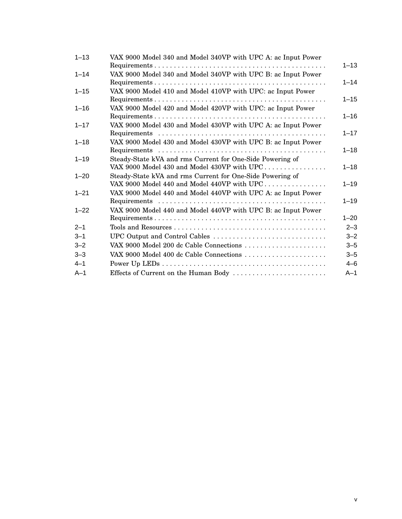| $1 - 13$ | VAX 9000 Model 340 and Model 340VP with UPC A: ac Input Power                                            | $1 - 13$ |
|----------|----------------------------------------------------------------------------------------------------------|----------|
| $1 - 14$ | VAX 9000 Model 340 and Model 340VP with UPC B: ac Input Power                                            | $1 - 14$ |
| $1 - 15$ | VAX 9000 Model 410 and Model 410VP with UPC: ac Input Power                                              | $1 - 15$ |
| $1 - 16$ | VAX 9000 Model 420 and Model 420VP with UPC: ac Input Power                                              | $1 - 16$ |
| $1 - 17$ | VAX 9000 Model 430 and Model 430VP with UPC A: ac Input Power                                            | $1 - 17$ |
| $1 - 18$ | VAX 9000 Model 430 and Model 430VP with UPC B: ac Input Power                                            | $1 - 18$ |
| $1 - 19$ | Steady-State kVA and rms Current for One-Side Powering of<br>VAX 9000 Model 430 and Model 430VP with UPC | $1 - 18$ |
| $1 - 20$ | Steady-State kVA and rms Current for One-Side Powering of<br>VAX 9000 Model 440 and Model 440VP with UPC | $1 - 19$ |
| $1 - 21$ | VAX 9000 Model 440 and Model 440VP with UPC A: ac Input Power                                            | $1 - 19$ |
| $1 - 22$ | VAX 9000 Model 440 and Model 440VP with UPC B: ac Input Power                                            | $1 - 20$ |
| $2 - 1$  |                                                                                                          | $2 - 3$  |
| $3 - 1$  | UPC Output and Control Cables                                                                            | $3 - 2$  |
| $3 - 2$  | VAX 9000 Model 200 dc Cable Connections                                                                  | $3 - 5$  |
| $3 - 3$  |                                                                                                          | $3 - 5$  |
| $4 - 1$  |                                                                                                          | $4 - 6$  |
| $A-1$    | Effects of Current on the Human Body                                                                     | $A-1$    |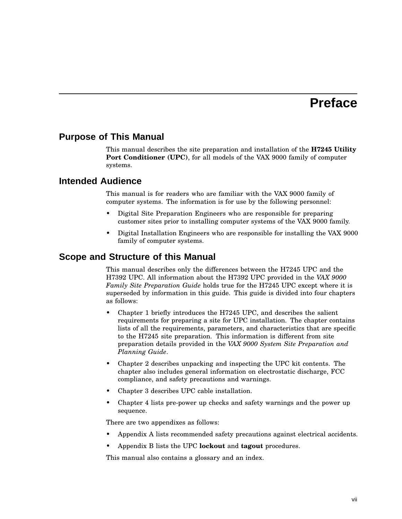# **Preface**

## **Purpose of This Manual**

This manual describes the site preparation and installation of the **H7245 Utility Port Conditioner (UPC)**, for all models of the VAX 9000 family of computer systems.

## **Intended Audience**

This manual is for readers who are familiar with the VAX 9000 family of computer systems. The information is for use by the following personnel:

- Digital Site Preparation Engineers who are responsible for preparing customer sites prior to installing computer systems of the VAX 9000 family.
- Digital Installation Engineers who are responsible for installing the VAX 9000 family of computer systems.

## **Scope and Structure of this Manual**

This manual describes only the differences between the H7245 UPC and the H7392 UPC. All information about the H7392 UPC provided in the *VAX 9000 Family Site Preparation Guide* holds true for the H7245 UPC except where it is superseded by information in this guide. This guide is divided into four chapters as follows:

- Chapter 1 briefly introduces the H7245 UPC, and describes the salient requirements for preparing a site for UPC installation. The chapter contains lists of all the requirements, parameters, and characteristics that are specific to the H7245 site preparation. This information is different from site preparation details provided in the *VAX 9000 System Site Preparation and Planning Guide*.
- Chapter 2 describes unpacking and inspecting the UPC kit contents. The chapter also includes general information on electrostatic discharge, FCC compliance, and safety precautions and warnings.
- Chapter 3 describes UPC cable installation.
- Chapter 4 lists pre-power up checks and safety warnings and the power up sequence.

There are two appendixes as follows:

- Appendix A lists recommended safety precautions against electrical accidents.
- Appendix B lists the UPC **lockout** and **tagout** procedures.

This manual also contains a glossary and an index.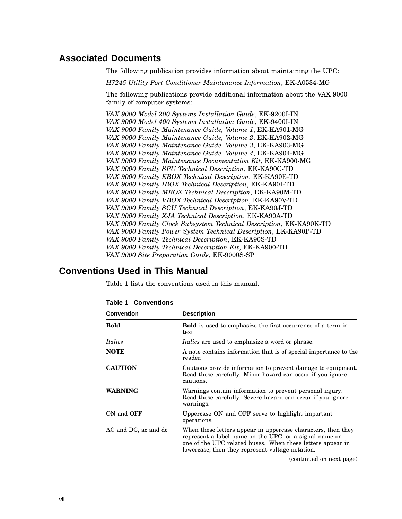## **Associated Documents**

The following publication provides information about maintaining the UPC:

*H7245 Utility Port Conditioner Maintenance Information*, EK-A0534-MG

The following publications provide additional information about the VAX 9000 family of computer systems:

*VAX 9000 Model 200 Systems Installation Guide*, EK-9200I-IN *VAX 9000 Model 400 Systems Installation Guide*, EK-9400I-IN *VAX 9000 Family Maintenance Guide, Volume 1*, EK-KA901-MG *VAX 9000 Family Maintenance Guide, Volume 2*, EK-KA902-MG *VAX 9000 Family Maintenance Guide, Volume 3*, EK-KA903-MG *VAX 9000 Family Maintenance Guide, Volume 4*, EK-KA904-MG *VAX 9000 Family Maintenance Documentation Kit*, EK-KA900-MG *VAX 9000 Family SPU Technical Description*, EK-KA90C-TD *VAX 9000 Family EBOX Technical Description*, EK-KA90E-TD *VAX 9000 Family IBOX Technical Description*, EK-KA90I-TD *VAX 9000 Family MBOX Technical Description*, EK-KA90M-TD *VAX 9000 Family VBOX Technical Description*, EK-KA90V-TD *VAX 9000 Family SCU Technical Description*, EK-KA90J-TD *VAX 9000 Family XJA Technical Description*, EK-KA90A-TD *VAX 9000 Family Clock Subsystem Technical Description*, EK-KA90K-TD *VAX 9000 Family Power System Technical Description*, EK-KA90P-TD *VAX 9000 Family Technical Description*, EK-KA90S-TD *VAX 9000 Family Technical Description Kit*, EK-KA900-TD *VAX 9000 Site Preparation Guide*, EK-9000S-SP

## **Conventions Used in This Manual**

Table 1 lists the conventions used in this manual.

| <b>Convention</b>    | <b>Description</b>                                                                                                                                                                                                                       |
|----------------------|------------------------------------------------------------------------------------------------------------------------------------------------------------------------------------------------------------------------------------------|
| <b>Bold</b>          | <b>Bold</b> is used to emphasize the first occurrence of a term in<br>text.                                                                                                                                                              |
| <i>Italics</i>       | <i>Italics</i> are used to emphasize a word or phrase.                                                                                                                                                                                   |
| <b>NOTE</b>          | A note contains information that is of special importance to the<br>reader.                                                                                                                                                              |
| <b>CAUTION</b>       | Cautions provide information to prevent damage to equipment.<br>Read these carefully. Minor hazard can occur if you ignore<br>cautions.                                                                                                  |
| <b>WARNING</b>       | Warnings contain information to prevent personal injury.<br>Read these carefully. Severe hazard can occur if you ignore<br>warnings.                                                                                                     |
| ON and OFF           | Uppercase ON and OFF serve to highlight important<br>operations.                                                                                                                                                                         |
| AC and DC, ac and dc | When these letters appear in uppercase characters, then they<br>represent a label name on the UPC, or a signal name on<br>one of the UPC related buses. When these letters appear in<br>lowercase, then they represent voltage notation. |

**Table 1 Conventions**

(continued on next page)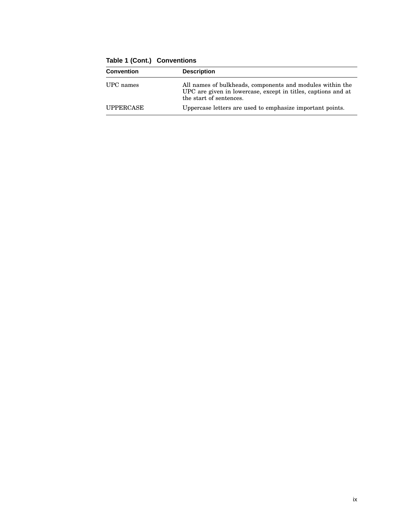| <b>Convention</b> | <b>Description</b>                                                                                                                                    |
|-------------------|-------------------------------------------------------------------------------------------------------------------------------------------------------|
| UPC names         | All names of bulkheads, components and modules within the<br>UPC are given in lowercase, except in titles, captions and at<br>the start of sentences. |
| <b>UPPERCASE</b>  | Uppercase letters are used to emphasize important points.                                                                                             |

**Table 1 (Cont.) Conventions**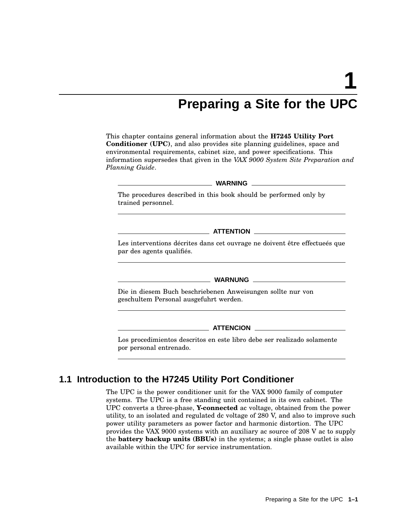# **Preparing a Site for the UPC**

This chapter contains general information about the **H7245 Utility Port Conditioner (UPC)**, and also provides site planning guidelines, space and environmental requirements, cabinet size, and power specifications. This information supersedes that given in the *VAX 9000 System Site Preparation and Planning Guide*.

#### **WARNING**

The procedures described in this book should be performed only by trained personnel.

#### **ATTENTION**

Les interventions décrites dans cet ouvrage ne doivent être effectueés que par des agents qualifiés.

### **WARNUNG**

Die in diesem Buch beschriebenen Anweisungen sollte nur von geschultem Personal ausgefuhrt werden.

### **ATTENCION**

Los procedimientos descritos en este libro debe ser realizado solamente por personal entrenado.

## **1.1 Introduction to the H7245 Utility Port Conditioner**

The UPC is the power conditioner unit for the VAX 9000 family of computer systems. The UPC is a free standing unit contained in its own cabinet. The UPC converts a three-phase, **Y-connected** ac voltage, obtained from the power utility, to an isolated and regulated dc voltage of 280 V, and also to improve such power utility parameters as power factor and harmonic distortion. The UPC provides the VAX 9000 systems with an auxiliary ac source of 208 V ac to supply the **battery backup units (BBUs)** in the systems; a single phase outlet is also available within the UPC for service instrumentation.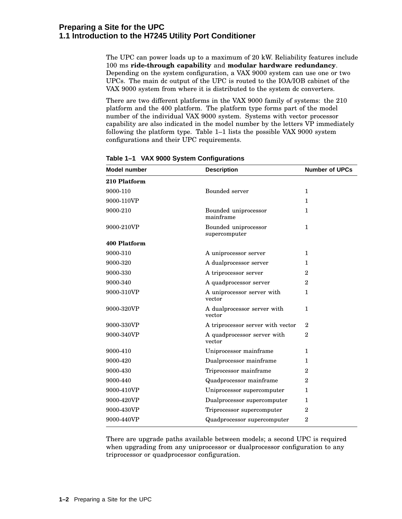### **Preparing a Site for the UPC 1.1 Introduction to the H7245 Utility Port Conditioner**

The UPC can power loads up to a maximum of 20 kW. Reliability features include 100 ms **ride-through capability** and **modular hardware redundancy**. Depending on the system configuration, a VAX 9000 system can use one or two UPCs. The main dc output of the UPC is routed to the IOA/IOB cabinet of the VAX 9000 system from where it is distributed to the system dc converters.

There are two different platforms in the VAX 9000 family of systems: the 210 platform and the 400 platform. The platform type forms part of the model number of the individual VAX 9000 system. Systems with vector processor capability are also indicated in the model number by the letters VP immediately following the platform type. Table 1–1 lists the possible VAX 9000 system configurations and their UPC requirements.

| <b>Model number</b> | <b>Description</b>                    | <b>Number of UPCs</b> |
|---------------------|---------------------------------------|-----------------------|
| 210 Platform        |                                       |                       |
| 9000-110            | Bounded server                        | $\mathbf{1}$          |
| 9000-110VP          |                                       | $\mathbf{1}$          |
| 9000-210            | Bounded uniprocessor<br>mainframe     | $\mathbf 1$           |
| 9000-210VP          | Bounded uniprocessor<br>supercomputer | $\mathbf{1}$          |
| 400 Platform        |                                       |                       |
| 9000-310            | A uniprocessor server                 | $\mathbf{1}$          |
| 9000-320            | A dualprocessor server                | 1                     |
| 9000-330            | A triprocessor server                 | $\mathbf{2}$          |
| 9000-340            | A quadprocessor server                | $\overline{2}$        |
| 9000-310VP          | A uniprocessor server with<br>vector  | $\mathbf{1}$          |
| 9000-320VP          | A dualprocessor server with<br>vector | $\mathbf{1}$          |
| 9000-330VP          | A triprocessor server with vector     | $\overline{2}$        |
| 9000-340VP          | A quadprocessor server with<br>vector | $\overline{2}$        |
| 9000-410            | Uniprocessor mainframe                | $\mathbf{1}$          |
| 9000-420            | Dualprocessor mainframe               | 1                     |
| 9000-430            | Triprocessor mainframe                | $\overline{2}$        |
| 9000-440            | Quadprocessor mainframe               | $\overline{2}$        |
| 9000-410VP          | Uniprocessor supercomputer            | $\mathbf{1}$          |
| 9000-420VP          | Dualprocessor supercomputer           | 1                     |
| 9000-430VP          | Triprocessor supercomputer            | $\overline{2}$        |
| 9000-440VP          | Quadprocessor supercomputer           | $\overline{2}$        |

**Table 1–1 VAX 9000 System Configurations**

There are upgrade paths available between models; a second UPC is required when upgrading from any uniprocessor or dualprocessor configuration to any triprocessor or quadprocessor configuration.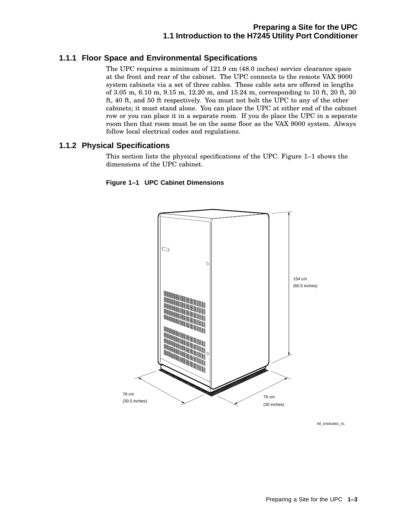## **1.1.1 Floor Space and Environmental Specifications**

The UPC requires a minimum of 121.9 cm (48.0 inches) service clearance space at the front and rear of the cabinet. The UPC connects to the remote VAX 9000 system cabinets via a set of three cables. These cable sets are offered in lengths of 3.05 m, 6.10 m, 9.15 m, 12.20 m, and 15.24 m, corresponding to 10 ft, 20 ft, 30 ft, 40 ft, and 50 ft respectively. You must not bolt the UPC to any of the other cabinets; it must stand alone. You can place the UPC at either end of the cabinet row or you can place it in a separate room. If you do place the UPC in a separate room then that room must be on the same floor as the VAX 9000 system. Always follow local electrical codes and regulations.

## **1.1.2 Physical Specifications**

This section lists the physical specifications of the UPC. Figure 1–1 shows the dimensions of the UPC cabinet.

### **Figure 1–1 UPC Cabinet Dimensions**



RE\_EN06396C\_91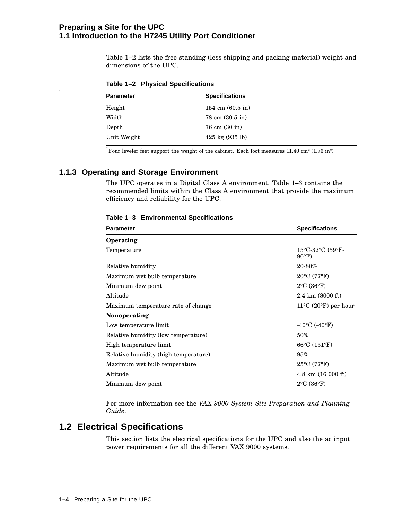### **Preparing a Site for the UPC 1.1 Introduction to the H7245 Utility Port Conditioner**

Table 1–2 lists the free standing (less shipping and packing material) weight and dimensions of the UPC.

| <b>Parameter</b> | <b>Specifications</b>              |  |
|------------------|------------------------------------|--|
| Height           | 154 cm $(60.5 \text{ in})$         |  |
| Width            | $78 \text{ cm } (30.5 \text{ in})$ |  |
| Depth            | $76 \text{ cm } (30 \text{ in})$   |  |
| Unit Weight $1$  | $425 \text{ kg} (935 \text{ lb})$  |  |

**Table 1–2 Physical Specifications**

<sup>1</sup>Four leveler feet support the weight of the cabinet. Each foot measures 11.40 cm<sup>2</sup> (1.76 in<sup>2</sup>)

### **1.1.3 Operating and Storage Environment**

.

The UPC operates in a Digital Class A environment, Table 1–3 contains the recommended limits within the Class A environment that provide the maximum efficiency and reliability for the UPC.

| <b>Parameter</b>                     | <b>Specifications</b>                     |
|--------------------------------------|-------------------------------------------|
| Operating                            |                                           |
| Temperature                          | 15°C-32°C (59°F-<br>$90^{\circ}$ F)       |
| Relative humidity                    | 20-80%                                    |
| Maximum wet bulb temperature         | $20^{\circ}$ C (77°F)                     |
| Minimum dew point                    | $2^{\circ}$ C (36 $^{\circ}$ F)           |
| Altitude                             | $2.4 \text{ km}$ (8000 ft)                |
| Maximum temperature rate of change   | $11^{\circ}$ C (20 $^{\circ}$ F) per hour |
| Nonoperating                         |                                           |
| Low temperature limit                | $-40^{\circ}$ C ( $-40^{\circ}$ F)        |
| Relative humidity (low temperature)  | $50\%$                                    |
| High temperature limit               | $66^{\circ}$ C (151 $^{\circ}$ F)         |
| Relative humidity (high temperature) | 95%                                       |
| Maximum wet bulb temperature         | $25^{\circ}$ C (77°F)                     |
| Altitude                             | $4.8 \text{ km}$ (16 000 ft)              |
| Minimum dew point                    | $2^{\circ}$ C (36 $^{\circ}$ F)           |

**Table 1–3 Environmental Specifications**

For more information see the *VAX 9000 System Site Preparation and Planning Guide*.

# **1.2 Electrical Specifications**

This section lists the electrical specifications for the UPC and also the ac input power requirements for all the different VAX 9000 systems.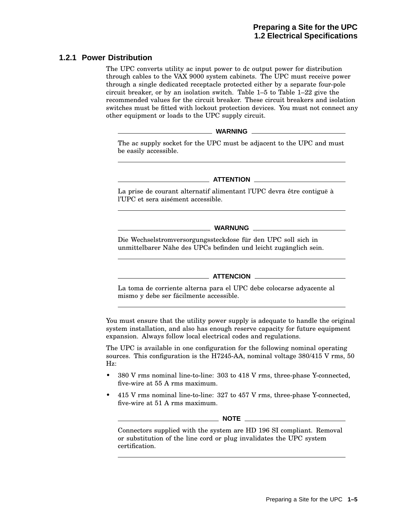### **1.2.1 Power Distribution**

The UPC converts utility ac input power to dc output power for distribution through cables to the VAX 9000 system cabinets. The UPC must receive power through a single dedicated receptacle protected either by a separate four-pole circuit breaker, or by an isolation switch. Table 1–5 to Table 1–22 give the recommended values for the circuit breaker. These circuit breakers and isolation switches must be fitted with lockout protection devices. You must not connect any other equipment or loads to the UPC supply circuit.

### **WARNING**

The ac supply socket for the UPC must be adjacent to the UPC and must be easily accessible.

### **ATTENTION**

La prise de courant alternatif alimentant l'UPC devra être contiguë à l'UPC et sera aisément accessible.

**WARNUNG**

Die Wechselstromversorgungssteckdose für den UPC soll sich in unmittelbarer Nähe des UPCs befinden und leicht zugänglich sein.

### **ATTENCION**

La toma de corriente alterna para el UPC debe colocarse adyacente al mismo y debe ser fácilmente accessible.

You must ensure that the utility power supply is adequate to handle the original system installation, and also has enough reserve capacity for future equipment expansion. Always follow local electrical codes and regulations.

The UPC is available in one configuration for the following nominal operating sources. This configuration is the H7245-AA, nominal voltage 380/415 V rms, 50 Hz:

- 380 V rms nominal line-to-line: 303 to 418 V rms, three-phase Y-connected, five-wire at 55 A rms maximum.
- 415 V rms nominal line-to-line: 327 to 457 V rms, three-phase Y-connected, five-wire at 51 A rms maximum.

**NOTE**

Connectors supplied with the system are HD 196 SI compliant. Removal or substitution of the line cord or plug invalidates the UPC system certification.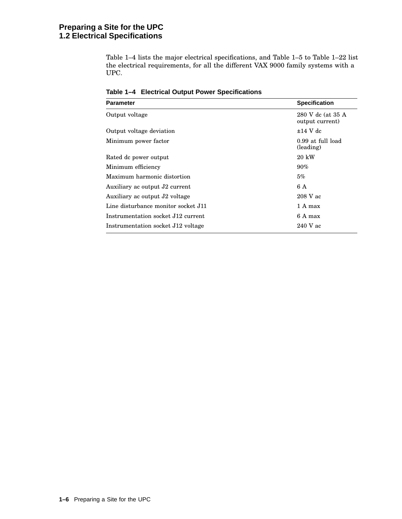## **Preparing a Site for the UPC 1.2 Electrical Specifications**

Table 1–4 lists the major electrical specifications, and Table 1–5 to Table 1–22 list the electrical requirements, for all the different VAX 9000 family systems with a UPC.

| <b>Parameter</b>                    | <b>Specification</b>                 |
|-------------------------------------|--------------------------------------|
| Output voltage                      | 280 V dc (at 35 A<br>output current) |
| Output voltage deviation            | $\pm 14~\mathrm{V}~\mathrm{dc}$      |
| Minimum power factor                | 0.99 at full load<br>(leading)       |
| Rated dc power output               | 20 kW                                |
| Minimum efficiency                  | 90%                                  |
| Maximum harmonic distortion         | $5\%$                                |
| Auxiliary ac output J2 current      | 6 A                                  |
| Auxiliary ac output J2 voltage      | $208$ V ac                           |
| Line disturbance monitor socket J11 | 1 A max                              |
| Instrumentation socket J12 current  | 6 A max                              |
| Instrumentation socket J12 voltage  | $240$ V ac                           |

**Table 1–4 Electrical Output Power Specifications**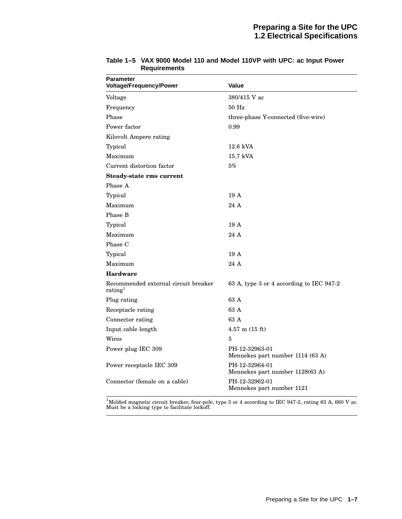| <b>Parameter</b><br><b>Voltage/Frequency/Power</b>          | Value                                              |
|-------------------------------------------------------------|----------------------------------------------------|
| Voltage                                                     | 380/415 V ac                                       |
| Frequency                                                   | $50$ Hz                                            |
| Phase                                                       | three-phase Y-connected (five-wire)                |
| Power factor                                                | 0.99                                               |
| Kilovolt Ampere rating                                      |                                                    |
| Typical                                                     | $12.6$ kVA                                         |
| Maximum                                                     | $15.7$ kVA                                         |
| Current distortion factor                                   | 5%                                                 |
| Steady-state rms current                                    |                                                    |
| Phase A                                                     |                                                    |
| Typical                                                     | 19A                                                |
| Maximum                                                     | 24 A                                               |
| Phase B                                                     |                                                    |
| Typical                                                     | 19A                                                |
| Maximum                                                     | 24 A                                               |
| Phase C                                                     |                                                    |
| Typical                                                     | 19A                                                |
| Maximum                                                     | 24 A                                               |
| <b>Hardware</b>                                             |                                                    |
| Recommended external circuit breaker<br>rating <sup>1</sup> | 63 A, type 3 or 4 according to IEC 947-2           |
| Plug rating                                                 | 63 A                                               |
| Receptacle rating                                           | 63 A                                               |
| Connector rating                                            | 63 A                                               |
| Input cable length                                          | $4.57$ m $(15 \text{ ft})$                         |
| Wires                                                       | 5                                                  |
| Power plug IEC 309                                          | PH-12-32963-01<br>Mennekes part number 1114 (63 A) |
| Power receptacle IEC 309                                    | PH-12-32964-01<br>Mennekes part number 1128(63 A)  |
| Connector (female on a cable)                               | PH-12-32962-01<br>Mennekes part number 1121        |

**Table 1–5 VAX 9000 Model 110 and Model 110VP with UPC: ac Input Power Requirements**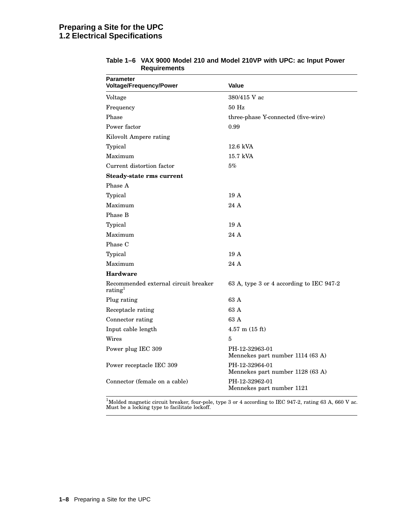## **Preparing a Site for the UPC 1.2 Electrical Specifications**

| <b>Parameter</b><br>Voltage/Frequency/Power                 | Value                                              |
|-------------------------------------------------------------|----------------------------------------------------|
| Voltage                                                     | 380/415 V ac                                       |
| Frequency                                                   | $50$ Hz                                            |
| Phase                                                       | three-phase Y-connected (five-wire)                |
| Power factor                                                | 0.99                                               |
| Kilovolt Ampere rating                                      |                                                    |
| Typical                                                     | 12.6 kVA                                           |
| Maximum                                                     | $15.7$ kVA                                         |
| Current distortion factor                                   | 5%                                                 |
| Steady-state rms current                                    |                                                    |
| Phase A                                                     |                                                    |
| Typical                                                     | 19A                                                |
| Maximum                                                     | 24 A                                               |
| Phase B                                                     |                                                    |
| Typical                                                     | 19A                                                |
| Maximum                                                     | 24 A                                               |
| Phase C                                                     |                                                    |
| Typical                                                     | 19A                                                |
| Maximum                                                     | 24 A                                               |
| <b>Hardware</b>                                             |                                                    |
| Recommended external circuit breaker<br>rating <sup>1</sup> | 63 A, type 3 or 4 according to IEC 947-2           |
| Plug rating                                                 | 63 A                                               |
| Receptacle rating                                           | 63 A                                               |
| Connector rating                                            | 63 A                                               |
| Input cable length                                          | $4.57$ m $(15$ ft)                                 |
| Wires                                                       | 5                                                  |
| Power plug IEC 309                                          | PH-12-32963-01<br>Mennekes part number 1114 (63 A) |
| Power receptacle IEC 309                                    | PH-12-32964-01<br>Mennekes part number 1128 (63 A) |
| Connector (female on a cable)                               | PH-12-32962-01<br>Mennekes part number 1121        |

### **Table 1–6 VAX 9000 Model 210 and Model 210VP with UPC: ac Input Power Requirements**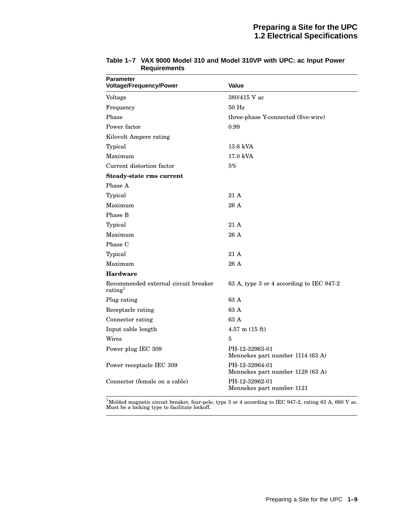| <b>Parameter</b><br><b>Voltage/Frequency/Power</b>          | Value                                              |
|-------------------------------------------------------------|----------------------------------------------------|
| Voltage                                                     | 380/415 V ac                                       |
| Frequency                                                   | $50$ Hz                                            |
| Phase                                                       | three-phase Y-connected (five-wire)                |
| Power factor                                                | 0.99                                               |
| Kilovolt Ampere rating                                      |                                                    |
| Typical                                                     | $13.6$ kVA                                         |
| Maximum                                                     | $17.0$ kVA                                         |
| Current distortion factor                                   | 5%                                                 |
| Steady-state rms current                                    |                                                    |
| Phase A                                                     |                                                    |
| Typical                                                     | 21A                                                |
| Maximum                                                     | 26 A                                               |
| Phase B                                                     |                                                    |
| Typical                                                     | 21A                                                |
| Maximum                                                     | 26 A                                               |
| Phase C                                                     |                                                    |
| Typical                                                     | 21A                                                |
| Maximum                                                     | 26 A                                               |
| <b>Hardware</b>                                             |                                                    |
| Recommended external circuit breaker<br>rating <sup>1</sup> | 63 A, type 3 or 4 according to IEC 947-2           |
| Plug rating                                                 | 63 A                                               |
| Receptacle rating                                           | 63 A                                               |
| Connector rating                                            | 63 A                                               |
| Input cable length                                          | $4.57$ m $(15 \text{ ft})$                         |
| Wires                                                       | 5                                                  |
| Power plug IEC 309                                          | PH-12-32963-01<br>Mennekes part number 1114 (63 A) |
| Power receptacle IEC 309                                    | PH-12-32964-01<br>Mennekes part number 1128 (63 A) |
| Connector (female on a cable)                               | PH-12-32962-01<br>Mennekes part number 1121        |

**Table 1–7 VAX 9000 Model 310 and Model 310VP with UPC: ac Input Power Requirements**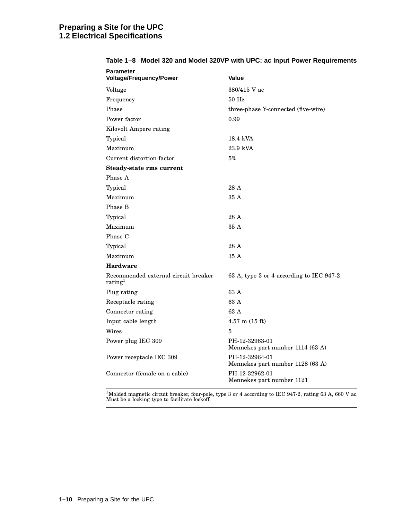## **Preparing a Site for the UPC 1.2 Electrical Specifications**

| Parameter<br><b>Voltage/Frequency/Power</b>                 | Value                                              |
|-------------------------------------------------------------|----------------------------------------------------|
| Voltage                                                     | 380/415 V ac                                       |
| Frequency                                                   | $50\ \mathrm{Hz}$                                  |
| Phase                                                       | three-phase Y-connected (five-wire)                |
| Power factor                                                | 0.99                                               |
| Kilovolt Ampere rating                                      |                                                    |
| Typical                                                     | 18.4 kVA                                           |
| Maximum                                                     | 23.9 kVA                                           |
| Current distortion factor                                   | 5%                                                 |
| <b>Steady-state rms current</b>                             |                                                    |
| Phase A                                                     |                                                    |
| Typical                                                     | 28 A                                               |
| Maximum                                                     | 35 A                                               |
| Phase B                                                     |                                                    |
| Typical                                                     | 28 A                                               |
| Maximum                                                     | 35 A                                               |
| Phase C                                                     |                                                    |
| Typical                                                     | 28 A                                               |
| Maximum                                                     | 35 A                                               |
| <b>Hardware</b>                                             |                                                    |
| Recommended external circuit breaker<br>rating <sup>1</sup> | 63 A, type 3 or 4 according to IEC 947-2           |
| Plug rating                                                 | 63 A                                               |
| Receptacle rating                                           | 63 A                                               |
| Connector rating                                            | 63 A                                               |
| Input cable length                                          | $4.57$ m $(15$ ft)                                 |
| Wires                                                       | 5                                                  |
| Power plug IEC 309                                          | PH-12-32963-01<br>Mennekes part number 1114 (63 A) |
| Power receptacle IEC 309                                    | PH-12-32964-01<br>Mennekes part number 1128 (63 A) |
| Connector (female on a cable)                               | PH-12-32962-01<br>Mennekes part number 1121        |

**Table 1–8 Model 320 and Model 320VP with UPC: ac Input Power Requirements**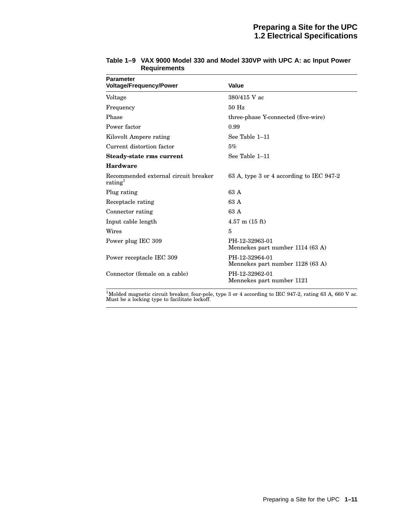| <b>Parameter</b><br><b>Voltage/Frequency/Power</b>          | <b>Value</b>                                       |
|-------------------------------------------------------------|----------------------------------------------------|
| Voltage                                                     | 380/415 V ac                                       |
| Frequency                                                   | $50$ Hz                                            |
| Phase                                                       | three-phase Y-connected (five-wire)                |
| Power factor                                                | 0.99                                               |
| Kilovolt Ampere rating                                      | See Table 1-11                                     |
| Current distortion factor                                   | 5%                                                 |
| Steady-state rms current                                    | See Table 1-11                                     |
| <b>Hardware</b>                                             |                                                    |
| Recommended external circuit breaker<br>rating <sup>1</sup> | 63 A, type 3 or 4 according to IEC 947-2           |
| Plug rating                                                 | 63 A                                               |
| Receptacle rating                                           | 63 A                                               |
| Connector rating                                            | 63 A                                               |
| Input cable length                                          | $4.57$ m $(15 \text{ ft})$                         |
| Wires                                                       | 5                                                  |
| Power plug IEC 309                                          | PH-12-32963-01<br>Mennekes part number 1114 (63 A) |
| Power receptacle IEC 309                                    | PH-12-32964-01<br>Mennekes part number 1128 (63 A) |
| Connector (female on a cable)                               | PH-12-32962-01<br>Mennekes part number 1121        |

### **Table 1–9 VAX 9000 Model 330 and Model 330VP with UPC A: ac Input Power Requirements**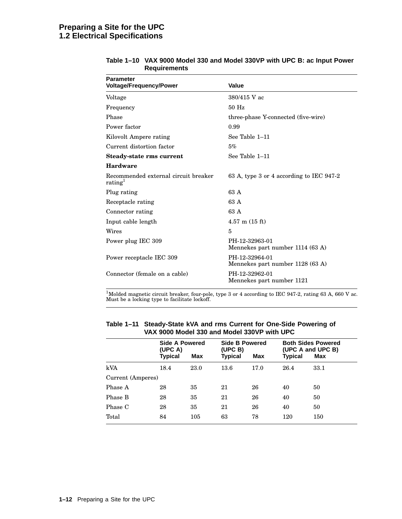## **Preparing a Site for the UPC 1.2 Electrical Specifications**

| <b>Parameter</b><br>Voltage/Frequency/Power                 | Value                                              |
|-------------------------------------------------------------|----------------------------------------------------|
| Voltage                                                     | 380/415 V ac                                       |
| Frequency                                                   | $50$ Hz                                            |
| Phase                                                       | three-phase Y-connected (five-wire)                |
| Power factor                                                | 0.99                                               |
| Kilovolt Ampere rating                                      | See Table 1-11                                     |
| Current distortion factor                                   | 5%                                                 |
| Steady-state rms current                                    | See Table 1-11                                     |
| <b>Hardware</b>                                             |                                                    |
| Recommended external circuit breaker<br>rating <sup>1</sup> | 63 A, type 3 or 4 according to IEC 947-2           |
| Plug rating                                                 | 63 A                                               |
| Receptacle rating                                           | 63 A                                               |
| Connector rating                                            | 63 A                                               |
| Input cable length                                          | $4.57$ m $(15$ ft)                                 |
| Wires                                                       | 5                                                  |
| Power plug IEC 309                                          | PH-12-32963-01<br>Mennekes part number 1114 (63 A) |
| Power receptacle IEC 309                                    | PH-12-32964-01<br>Mennekes part number 1128 (63 A) |
| Connector (female on a cable)                               | PH-12-32962-01<br>Mennekes part number 1121        |

### **Table 1–10 VAX 9000 Model 330 and Model 330VP with UPC B: ac Input Power Requirements**

| <u>VAA JUUU MUUGI JJU AHU MUUGI JJUVI WILII UI U</u> |                                             |      |                                             |      |         |                                                       |
|------------------------------------------------------|---------------------------------------------|------|---------------------------------------------|------|---------|-------------------------------------------------------|
|                                                      | <b>Side A Powered</b><br>(UPC A)<br>Typical | Max  | <b>Side B Powered</b><br>(UPC B)<br>Typical | Max  | Typical | <b>Both Sides Powered</b><br>(UPC A and UPC B)<br>Max |
| kVA                                                  | 18.4                                        | 23.0 | $13.6\,$                                    | 17.0 | 26.4    | 33.1                                                  |
| Current (Amperes)                                    |                                             |      |                                             |      |         |                                                       |
| Phase A                                              | 28                                          | 35   | 21                                          | 26   | 40      | 50                                                    |
| Phase B                                              | 28                                          | 35   | 21                                          | 26   | 40      | 50                                                    |
| Phase C                                              | 28                                          | 35   | 21                                          | 26   | 40      | 50                                                    |
| Total                                                | 84                                          | 105  | 63                                          | 78   | 120     | 150                                                   |

**Table 1–11 Steady-State kVA and rms Current for One-Side Powering of VAX 9000 Model 330 and Model 330VP with UPC**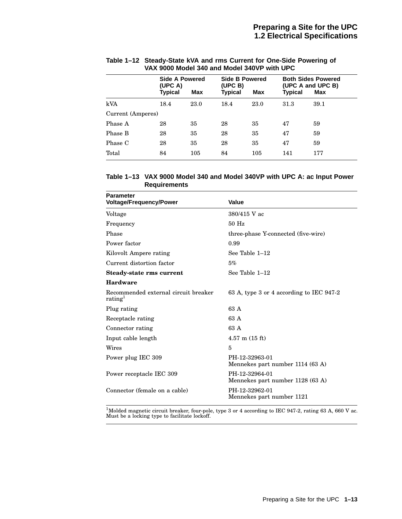|                   | (UPC A) | Side A Powered |                | Side B Powered<br>(UPC B) |                | <b>Both Sides Powered</b><br>(UPC A and UPC B) |  |
|-------------------|---------|----------------|----------------|---------------------------|----------------|------------------------------------------------|--|
|                   | Typical | Max            | <b>Typical</b> | Max                       | <b>Typical</b> | Max                                            |  |
| kVA               | 18.4    | 23.0           | 18.4           | 23.0                      | 31.3           | 39.1                                           |  |
| Current (Amperes) |         |                |                |                           |                |                                                |  |
| Phase A           | 28      | 35             | 28             | 35                        | 47             | 59                                             |  |
| Phase B           | 28      | 35             | 28             | 35                        | 47             | 59                                             |  |
| Phase C           | 28      | 35             | 28             | 35                        | 47             | 59                                             |  |
| Total             | 84      | 105            | 84             | 105                       | 141            | 177                                            |  |

### **Table 1–12 Steady-State kVA and rms Current for One-Side Powering of VAX 9000 Model 340 and Model 340VP with UPC**

### **Table 1–13 VAX 9000 Model 340 and Model 340VP with UPC A: ac Input Power Requirements**

| <b>Parameter</b><br><b>Voltage/Frequency/Power</b>          | <b>Value</b>                                       |
|-------------------------------------------------------------|----------------------------------------------------|
| Voltage                                                     | 380/415 V ac                                       |
| Frequency                                                   | $50$ Hz                                            |
| Phase                                                       | three-phase Y-connected (five-wire)                |
| Power factor                                                | 0.99                                               |
| Kilovolt Ampere rating                                      | See Table 1-12                                     |
| Current distortion factor                                   | 5%                                                 |
| Steady-state rms current                                    | See Table $1-12$                                   |
| <b>Hardware</b>                                             |                                                    |
| Recommended external circuit breaker<br>rating <sup>1</sup> | 63 A, type 3 or 4 according to IEC 947-2           |
| Plug rating                                                 | 63 A                                               |
| Receptacle rating                                           | 63 A                                               |
| Connector rating                                            | 63 A                                               |
| Input cable length                                          | $4.57$ m $(15 \text{ ft})$                         |
| Wires                                                       | 5                                                  |
| Power plug IEC 309                                          | PH-12-32963-01<br>Mennekes part number 1114 (63 A) |
| Power receptacle IEC 309                                    | PH-12-32964-01<br>Mennekes part number 1128 (63 A) |
| Connector (female on a cable)                               | PH-12-32962-01<br>Mennekes part number 1121        |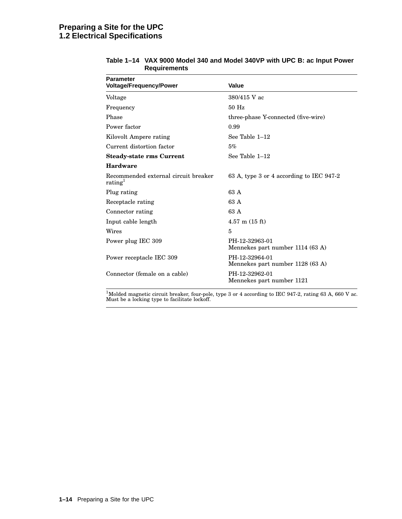## **Preparing a Site for the UPC 1.2 Electrical Specifications**

| <b>Parameter</b>                                            |                                                    |
|-------------------------------------------------------------|----------------------------------------------------|
| <b>Voltage/Frequency/Power</b>                              | Value                                              |
| Voltage                                                     | 380/415 V ac                                       |
| Frequency                                                   | $50$ Hz                                            |
| Phase                                                       | three-phase Y-connected (five-wire)                |
| Power factor                                                | 0.99                                               |
| Kilovolt Ampere rating                                      | See Table 1-12                                     |
| Current distortion factor                                   | 5%                                                 |
| <b>Steady-state rms Current</b>                             | See Table 1-12                                     |
| <b>Hardware</b>                                             |                                                    |
| Recommended external circuit breaker<br>rating <sup>1</sup> | 63 A, type 3 or 4 according to IEC 947-2           |
| Plug rating                                                 | 63 A                                               |
| Receptacle rating                                           | 63 A                                               |
| Connector rating                                            | 63 A                                               |
| Input cable length                                          | $4.57$ m $(15 \text{ ft})$                         |
| Wires                                                       | 5                                                  |
| Power plug IEC 309                                          | PH-12-32963-01<br>Mennekes part number 1114 (63 A) |
| Power receptacle IEC 309                                    | PH-12-32964-01<br>Mennekes part number 1128 (63 A) |
| Connector (female on a cable)                               | PH-12-32962-01<br>Mennekes part number 1121        |

### **Table 1–14 VAX 9000 Model 340 and Model 340VP with UPC B: ac Input Power Requirements**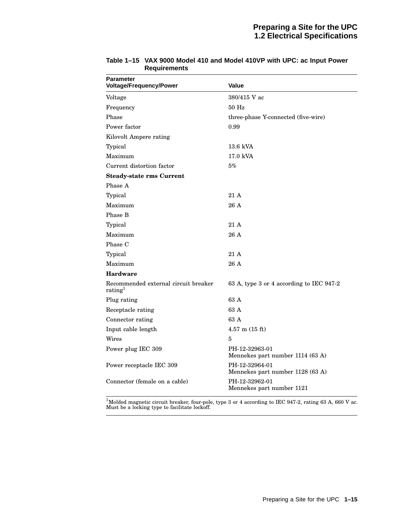| <b>Parameter</b><br><b>Voltage/Frequency/Power</b>          | Value                                              |
|-------------------------------------------------------------|----------------------------------------------------|
| Voltage                                                     | 380/415 V ac                                       |
| Frequency                                                   | $50$ Hz                                            |
| Phase                                                       | three-phase Y-connected (five-wire)                |
| Power factor                                                | 0.99                                               |
| Kilovolt Ampere rating                                      |                                                    |
| Typical                                                     | $13.6$ kVA                                         |
| Maximum                                                     | 17.0 kVA                                           |
| Current distortion factor                                   | 5%                                                 |
| <b>Steady-state rms Current</b>                             |                                                    |
| Phase A                                                     |                                                    |
| Typical                                                     | 21A                                                |
| Maximum                                                     | 26A                                                |
| Phase B                                                     |                                                    |
| Typical                                                     | 21 A                                               |
| Maximum                                                     | 26A                                                |
| Phase C                                                     |                                                    |
| Typical                                                     | 21A                                                |
| Maximum                                                     | 26A                                                |
| <b>Hardware</b>                                             |                                                    |
| Recommended external circuit breaker<br>rating <sup>1</sup> | 63 A, type 3 or 4 according to IEC 947-2           |
| Plug rating                                                 | 63 A                                               |
| Receptacle rating                                           | 63 A                                               |
| Connector rating                                            | 63 A                                               |
| Input cable length                                          | $4.57$ m $(15$ ft)                                 |
| Wires                                                       | 5                                                  |
| Power plug IEC 309                                          | PH-12-32963-01<br>Mennekes part number 1114 (63 A) |
| Power receptacle IEC 309                                    | PH-12-32964-01<br>Mennekes part number 1128 (63 A) |
| Connector (female on a cable)                               | PH-12-32962-01<br>Mennekes part number 1121        |

**Table 1–15 VAX 9000 Model 410 and Model 410VP with UPC: ac Input Power Requirements**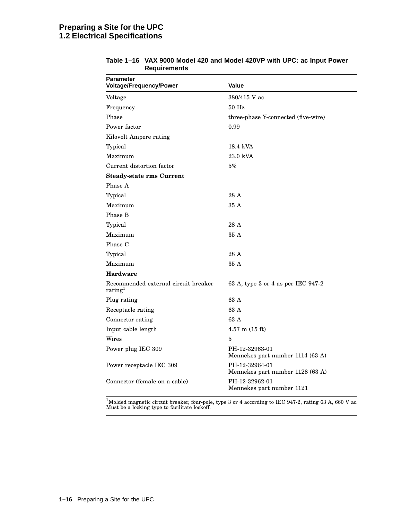## **Preparing a Site for the UPC 1.2 Electrical Specifications**

| <b>Parameter</b><br>Voltage/Frequency/Power                 | Value                                              |
|-------------------------------------------------------------|----------------------------------------------------|
| Voltage                                                     | 380/415 V ac                                       |
| Frequency                                                   | $50$ Hz                                            |
| Phase                                                       | three-phase Y-connected (five-wire)                |
| Power factor                                                | 0.99                                               |
| Kilovolt Ampere rating                                      |                                                    |
| Typical                                                     | 18.4 kVA                                           |
| Maximum                                                     | 23.0 kVA                                           |
| Current distortion factor                                   | 5%                                                 |
| <b>Steady-state rms Current</b>                             |                                                    |
| Phase A                                                     |                                                    |
| Typical                                                     | 28 A                                               |
| Maximum                                                     | 35 A                                               |
| Phase B                                                     |                                                    |
| Typical                                                     | 28 A                                               |
| Maximum                                                     | 35 A                                               |
| Phase C                                                     |                                                    |
| Typical                                                     | 28 A                                               |
| Maximum                                                     | 35 A                                               |
| <b>Hardware</b>                                             |                                                    |
| Recommended external circuit breaker<br>rating <sup>1</sup> | 63 A, type 3 or 4 as per IEC 947-2                 |
| Plug rating                                                 | 63 A                                               |
| Receptacle rating                                           | 63 A                                               |
| Connector rating                                            | 63 A                                               |
| Input cable length                                          | $4.57$ m $(15$ ft)                                 |
| Wires                                                       | 5                                                  |
| Power plug IEC 309                                          | PH-12-32963-01<br>Mennekes part number 1114 (63 A) |
| Power receptacle IEC 309                                    | PH-12-32964-01<br>Mennekes part number 1128 (63 A) |
| Connector (female on a cable)                               | PH-12-32962-01<br>Mennekes part number 1121        |

### **Table 1–16 VAX 9000 Model 420 and Model 420VP with UPC: ac Input Power Requirements**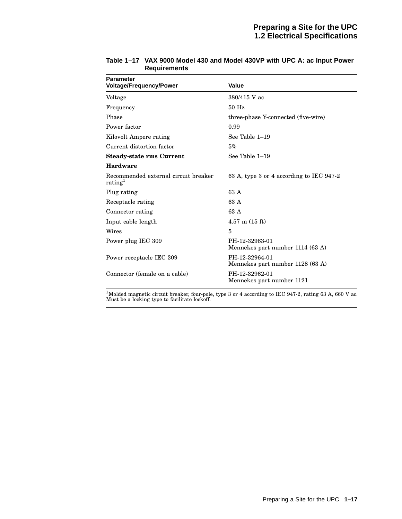| <b>Parameter</b><br><b>Voltage/Frequency/Power</b>          | <b>Value</b>                                       |
|-------------------------------------------------------------|----------------------------------------------------|
| Voltage                                                     | 380/415 V ac                                       |
| Frequency                                                   | $50$ Hz                                            |
| Phase                                                       | three-phase Y-connected (five-wire)                |
| Power factor                                                | 0.99                                               |
| Kilovolt Ampere rating                                      | See Table 1-19                                     |
| Current distortion factor                                   | 5%                                                 |
| <b>Steady-state rms Current</b>                             | See Table 1-19                                     |
| <b>Hardware</b>                                             |                                                    |
| Recommended external circuit breaker<br>rating <sup>1</sup> | 63 A, type 3 or 4 according to IEC 947-2           |
| Plug rating                                                 | 63 A                                               |
| Receptacle rating                                           | 63 A                                               |
| Connector rating                                            | 63 A                                               |
| Input cable length                                          | $4.57$ m $(15 \text{ ft})$                         |
| Wires                                                       | 5                                                  |
| Power plug IEC 309                                          | PH-12-32963-01<br>Mennekes part number 1114 (63 A) |
| Power receptacle IEC 309                                    | PH-12-32964-01<br>Mennekes part number 1128 (63 A) |
| Connector (female on a cable)                               | PH-12-32962-01<br>Mennekes part number 1121        |

| Table 1-17 VAX 9000 Model 430 and Model 430VP with UPC A: ac Input Power |
|--------------------------------------------------------------------------|
| <b>Requirements</b>                                                      |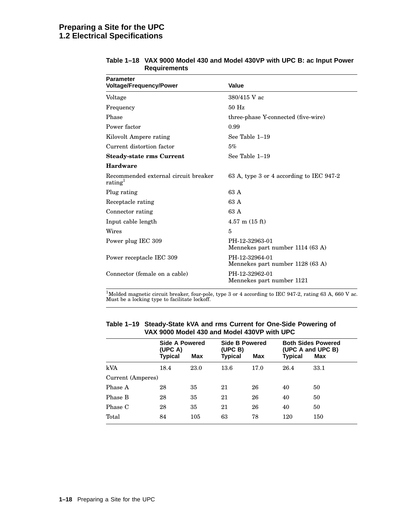## **Preparing a Site for the UPC 1.2 Electrical Specifications**

| <b>Parameter</b><br>Voltage/Frequency/Power                 | Value                                              |
|-------------------------------------------------------------|----------------------------------------------------|
| Voltage                                                     | 380/415 V ac                                       |
| Frequency                                                   | $50$ Hz                                            |
| Phase                                                       | three-phase Y-connected (five-wire)                |
| Power factor                                                | 0.99                                               |
| Kilovolt Ampere rating                                      | See Table 1-19                                     |
| Current distortion factor                                   | 5%                                                 |
| <b>Steady-state rms Current</b>                             | See Table 1-19                                     |
| <b>Hardware</b>                                             |                                                    |
| Recommended external circuit breaker<br>rating <sup>1</sup> | 63 A, type 3 or 4 according to IEC 947-2           |
| Plug rating                                                 | 63 A                                               |
| Receptacle rating                                           | 63 A                                               |
| Connector rating                                            | 63 A                                               |
| Input cable length                                          | $4.57$ m $(15$ ft)                                 |
| Wires                                                       | 5                                                  |
| Power plug IEC 309                                          | PH-12-32963-01<br>Mennekes part number 1114 (63 A) |
| Power receptacle IEC 309                                    | PH-12-32964-01<br>Mennekes part number 1128 (63 A) |
| Connector (female on a cable)                               | PH-12-32962-01<br>Mennekes part number 1121        |

### **Table 1–18 VAX 9000 Model 430 and Model 430VP with UPC B: ac Input Power Requirements**

| VAA JUUU MUUCI 430 AHU MUUCI 430 VF WILII UFC |                                      |      |                                             |      |         |                                                       |  |
|-----------------------------------------------|--------------------------------------|------|---------------------------------------------|------|---------|-------------------------------------------------------|--|
|                                               | Side A Powered<br>(UPC A)<br>Typical | Max  | Side B Powered<br>(UPC B)<br><b>Typical</b> | Max  | Typical | <b>Both Sides Powered</b><br>(UPC A and UPC B)<br>Max |  |
| kVA                                           | 18.4                                 | 23.0 | 13.6                                        | 17.0 | 26.4    | 33.1                                                  |  |
| Current (Amperes)                             |                                      |      |                                             |      |         |                                                       |  |
| Phase A                                       | 28                                   | 35   | 21                                          | 26   | 40      | 50                                                    |  |
| Phase B                                       | 28                                   | 35   | 21                                          | 26   | 40      | 50                                                    |  |
| Phase C                                       | 28                                   | 35   | 21                                          | 26   | 40      | 50                                                    |  |
| Total                                         | 84                                   | 105  | 63                                          | 78   | 120     | 150                                                   |  |

**Table 1–19 Steady-State kVA and rms Current for One-Side Powering of VAX 9000 Model 430 and Model 430VP with UPC**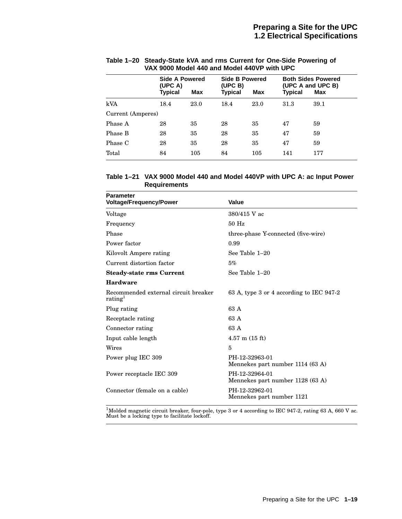|                   | Side A Powered<br>(UPC A) |      | Side B Powered<br>(UPC B) |      |                | <b>Both Sides Powered</b><br>(UPC A and UPC B) |
|-------------------|---------------------------|------|---------------------------|------|----------------|------------------------------------------------|
|                   | Typical                   | Max  | <b>Typical</b>            | Max  | <b>Typical</b> | Max                                            |
| kVA               | 18.4                      | 23.0 | 18.4                      | 23.0 | 31.3           | 39.1                                           |
| Current (Amperes) |                           |      |                           |      |                |                                                |
| Phase A           | 28                        | 35   | 28                        | 35   | 47             | 59                                             |
| Phase B           | 28                        | 35   | 28                        | 35   | 47             | 59                                             |
| Phase C           | 28                        | 35   | 28                        | 35   | 47             | 59                                             |
| Total             | 84                        | 105  | 84                        | 105  | 141            | 177                                            |

### **Table 1–20 Steady-State kVA and rms Current for One-Side Powering of VAX 9000 Model 440 and Model 440VP with UPC**

### **Table 1–21 VAX 9000 Model 440 and Model 440VP with UPC A: ac Input Power Requirements**

| <b>Parameter</b><br><b>Voltage/Frequency/Power</b>          | <b>Value</b>                                       |
|-------------------------------------------------------------|----------------------------------------------------|
| Voltage                                                     | 380/415 V ac                                       |
| Frequency                                                   | $50$ Hz                                            |
| Phase                                                       | three-phase Y-connected (five-wire)                |
| Power factor                                                | 0.99                                               |
| Kilovolt Ampere rating                                      | See Table 1-20                                     |
| Current distortion factor                                   | 5%                                                 |
| <b>Steady-state rms Current</b>                             | See Table 1-20                                     |
| <b>Hardware</b>                                             |                                                    |
| Recommended external circuit breaker<br>rating <sup>1</sup> | 63 A, type 3 or 4 according to IEC 947-2           |
| Plug rating                                                 | 63 A                                               |
| Receptacle rating                                           | 63 A                                               |
| Connector rating                                            | 63 A                                               |
| Input cable length                                          | $4.57$ m $(15 \text{ ft})$                         |
| Wires                                                       | 5                                                  |
| Power plug IEC 309                                          | PH-12-32963-01<br>Mennekes part number 1114 (63 A) |
| Power receptacle IEC 309                                    | PH-12-32964-01<br>Mennekes part number 1128 (63 A) |
| Connector (female on a cable)                               | PH-12-32962-01<br>Mennekes part number 1121        |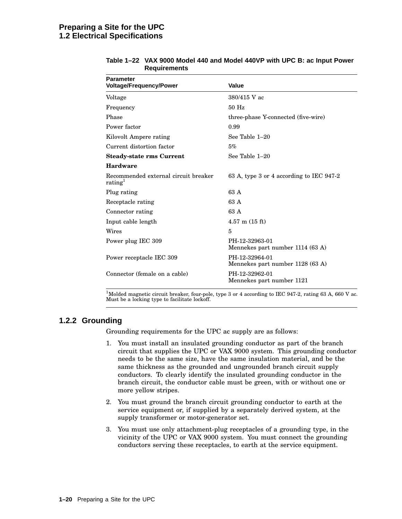## **Preparing a Site for the UPC 1.2 Electrical Specifications**

| <b>Parameter</b><br><b>Voltage/Frequency/Power</b>          | Value                                              |
|-------------------------------------------------------------|----------------------------------------------------|
| Voltage                                                     | 380/415 V ac                                       |
| Frequency                                                   | $50$ Hz                                            |
| Phase                                                       | three-phase Y-connected (five-wire)                |
| Power factor                                                | 0.99                                               |
| Kilovolt Ampere rating                                      | See Table 1-20                                     |
| Current distortion factor                                   | 5%                                                 |
| <b>Steady-state rms Current</b>                             | See Table 1-20                                     |
| <b>Hardware</b>                                             |                                                    |
| Recommended external circuit breaker<br>rating <sup>1</sup> | 63 A, type 3 or 4 according to IEC 947-2           |
| Plug rating                                                 | 63 A                                               |
| Receptacle rating                                           | 63 A                                               |
| Connector rating                                            | 63 A                                               |
| Input cable length                                          | $4.57$ m $(15$ ft)                                 |
| Wires                                                       | 5                                                  |
| Power plug IEC 309                                          | PH-12-32963-01<br>Mennekes part number 1114 (63 A) |
| Power receptacle IEC 309                                    | PH-12-32964-01<br>Mennekes part number 1128 (63 A) |
| Connector (female on a cable)                               | PH-12-32962-01<br>Mennekes part number 1121        |

### **Table 1–22 VAX 9000 Model 440 and Model 440VP with UPC B: ac Input Power Requirements**

 $^1$ Molded magnetic circuit breaker, four-pole, type 3 or 4 according to IEC 947-2, rating 63 A, 660 V ac.<br>Must be a locking type to facilitate lockoff.

## **1.2.2 Grounding**

Grounding requirements for the UPC ac supply are as follows:

- 1. You must install an insulated grounding conductor as part of the branch circuit that supplies the UPC or VAX 9000 system. This grounding conductor needs to be the same size, have the same insulation material, and be the same thickness as the grounded and ungrounded branch circuit supply conductors. To clearly identify the insulated grounding conductor in the branch circuit, the conductor cable must be green, with or without one or more yellow stripes.
- 2. You must ground the branch circuit grounding conductor to earth at the service equipment or, if supplied by a separately derived system, at the supply transformer or motor-generator set.
- 3. You must use only attachment-plug receptacles of a grounding type, in the vicinity of the UPC or VAX 9000 system. You must connect the grounding conductors serving these receptacles, to earth at the service equipment.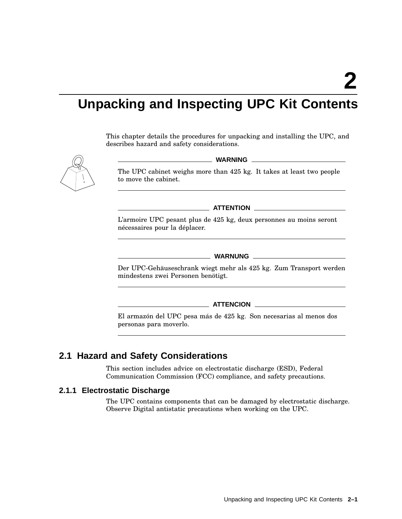# **Unpacking and Inspecting UPC Kit Contents**

This chapter details the procedures for unpacking and installing the UPC, and describes hazard and safety considerations.



**WARNING**

The UPC cabinet weighs more than 425 kg. It takes at least two people to move the cabinet.

**ATTENTION**

L'armoire UPC pesant plus de 425 kg, deux personnes au moins seront nécessaires pour la déplacer.

### **WARNUNG**

Der UPC-Gehäuseschrank wiegt mehr als 425 kg. Zum Transport werden mindestens zwei Personen benötigt.

**ATTENCION**

El armazón del UPC pesa más de 425 kg. Son necesarias al menos dos personas para moverlo.

# **2.1 Hazard and Safety Considerations**

This section includes advice on electrostatic discharge (ESD), Federal Communication Commission (FCC) compliance, and safety precautions.

### **2.1.1 Electrostatic Discharge**

The UPC contains components that can be damaged by electrostatic discharge. Observe Digital antistatic precautions when working on the UPC.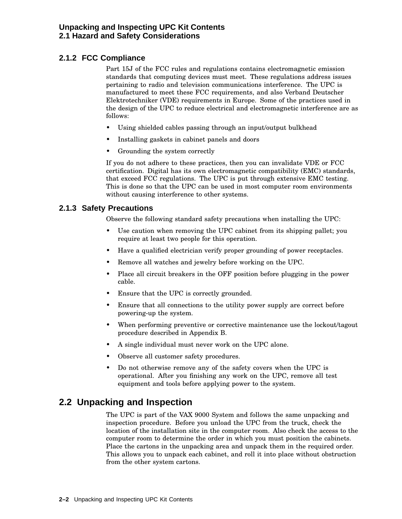## **2.1.2 FCC Compliance**

Part 15J of the FCC rules and regulations contains electromagnetic emission standards that computing devices must meet. These regulations address issues pertaining to radio and television communications interference. The UPC is manufactured to meet these FCC requirements, and also Verband Deutscher Elektrotechniker (VDE) requirements in Europe. Some of the practices used in the design of the UPC to reduce electrical and electromagnetic interference are as follows:

- Using shielded cables passing through an input/output bulkhead
- Installing gaskets in cabinet panels and doors
- Grounding the system correctly

If you do not adhere to these practices, then you can invalidate VDE or FCC certification. Digital has its own electromagnetic compatibility (EMC) standards, that exceed FCC regulations. The UPC is put through extensive EMC testing. This is done so that the UPC can be used in most computer room environments without causing interference to other systems.

## **2.1.3 Safety Precautions**

Observe the following standard safety precautions when installing the UPC:

- Use caution when removing the UPC cabinet from its shipping pallet; you require at least two people for this operation.
- Have a qualified electrician verify proper grounding of power receptacles.
- Remove all watches and jewelry before working on the UPC.
- Place all circuit breakers in the OFF position before plugging in the power cable.
- Ensure that the UPC is correctly grounded.
- Ensure that all connections to the utility power supply are correct before powering-up the system.
- When performing preventive or corrective maintenance use the lockout/tagout procedure described in Appendix B.
- A single individual must never work on the UPC alone.
- Observe all customer safety procedures.
- Do not otherwise remove any of the safety covers when the UPC is operational. After you finishing any work on the UPC, remove all test equipment and tools before applying power to the system.

# **2.2 Unpacking and Inspection**

The UPC is part of the VAX 9000 System and follows the same unpacking and inspection procedure. Before you unload the UPC from the truck, check the location of the installation site in the computer room. Also check the access to the computer room to determine the order in which you must position the cabinets. Place the cartons in the unpacking area and unpack them in the required order. This allows you to unpack each cabinet, and roll it into place without obstruction from the other system cartons.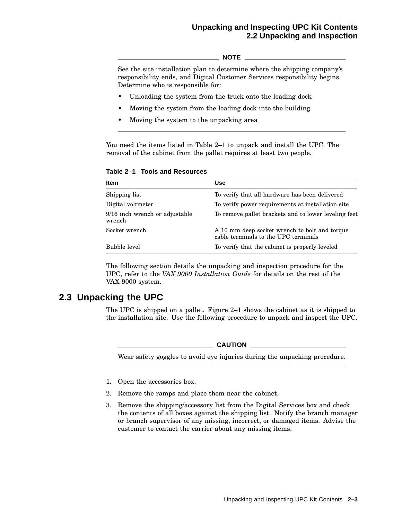### **Unpacking and Inspecting UPC Kit Contents 2.2 Unpacking and Inspection**

#### **NOTE**

See the site installation plan to determine where the shipping company's responsibility ends, and Digital Customer Services responsibility begins. Determine who is responsible for:

- Unloading the system from the truck onto the loading dock
- Moving the system from the loading dock into the building
- Moving the system to the unpacking area

You need the items listed in Table 2–1 to unpack and install the UPC. The removal of the cabinet from the pallet requires at least two people.

**Table 2–1 Tools and Resources**

| <b>Item</b>                              | Use                                                                                   |
|------------------------------------------|---------------------------------------------------------------------------------------|
| Shipping list                            | To verify that all hardware has been delivered                                        |
| Digital voltmeter                        | To verify power requirements at installation site                                     |
| 9/16 inch wrench or adjustable<br>wrench | To remove pallet brackets and to lower leveling feet                                  |
| Socket wrench                            | A 10 mm deep socket wrench to bolt and torque<br>cable terminals to the UPC terminals |
| Bubble level                             | To verify that the cabinet is properly leveled                                        |

The following section details the unpacking and inspection procedure for the UPC, refer to the *VAX 9000 Installation Guide* for details on the rest of the VAX 9000 system.

# **2.3 Unpacking the UPC**

The UPC is shipped on a pallet. Figure 2–1 shows the cabinet as it is shipped to the installation site. Use the following procedure to unpack and inspect the UPC.

**CAUTION**

Wear safety goggles to avoid eye injuries during the unpacking procedure.

- 1. Open the accessories box.
- 2. Remove the ramps and place them near the cabinet.
- 3. Remove the shipping/accessory list from the Digital Services box and check the contents of all boxes against the shipping list. Notify the branch manager or branch supervisor of any missing, incorrect, or damaged items. Advise the customer to contact the carrier about any missing items.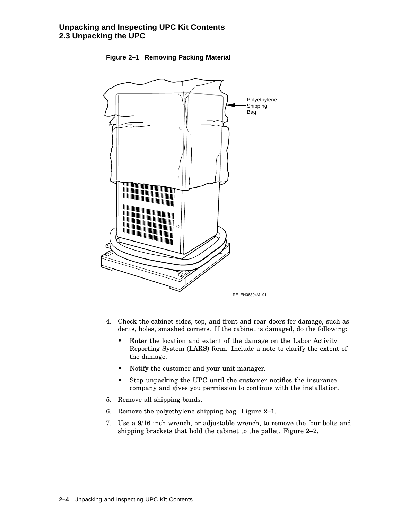### **Unpacking and Inspecting UPC Kit Contents 2.3 Unpacking the UPC**



### **Figure 2–1 Removing Packing Material**

- 4. Check the cabinet sides, top, and front and rear doors for damage, such as dents, holes, smashed corners. If the cabinet is damaged, do the following:
	- Enter the location and extent of the damage on the Labor Activity Reporting System (LARS) form. Include a note to clarify the extent of the damage.
	- Notify the customer and your unit manager.
	- Stop unpacking the UPC until the customer notifies the insurance company and gives you permission to continue with the installation.
- 5. Remove all shipping bands.
- 6. Remove the polyethylene shipping bag. Figure 2–1.
- 7. Use a 9/16 inch wrench, or adjustable wrench, to remove the four bolts and shipping brackets that hold the cabinet to the pallet. Figure 2–2.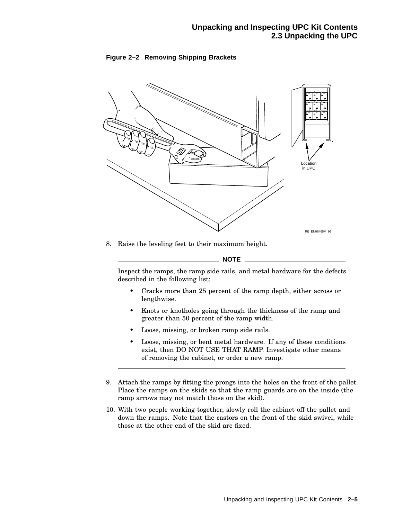



8. Raise the leveling feet to their maximum height.

**NOTE**

Inspect the ramps, the ramp side rails, and metal hardware for the defects described in the following list:

- Cracks more than 25 percent of the ramp depth, either across or lengthwise.
- Knots or knotholes going through the thickness of the ramp and greater than 50 percent of the ramp width.
- Loose, missing, or broken ramp side rails.
- Loose, missing, or bent metal hardware. If any of these conditions exist, then DO NOT USE THAT RAMP. Investigate other means of removing the cabinet, or order a new ramp.
- 9. Attach the ramps by fitting the prongs into the holes on the front of the pallet. Place the ramps on the skids so that the ramp guards are on the inside (the ramp arrows may not match those on the skid).
- 10. With two people working together, slowly roll the cabinet off the pallet and down the ramps. Note that the castors on the front of the skid swivel, while those at the other end of the skid are fixed.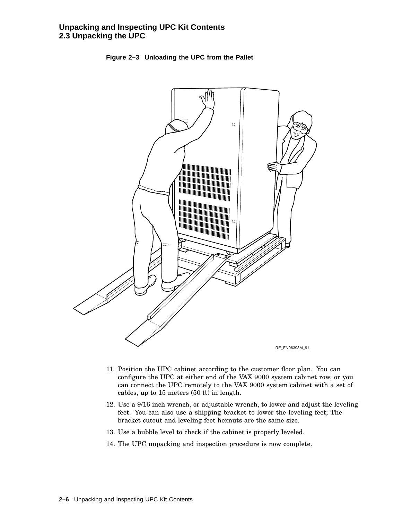### **Unpacking and Inspecting UPC Kit Contents 2.3 Unpacking the UPC**



### **Figure 2–3 Unloading the UPC from the Pallet**

- 11. Position the UPC cabinet according to the customer floor plan. You can configure the UPC at either end of the VAX 9000 system cabinet row, or you can connect the UPC remotely to the VAX 9000 system cabinet with a set of cables, up to 15 meters (50 ft) in length.
- 12. Use a 9/16 inch wrench, or adjustable wrench, to lower and adjust the leveling feet. You can also use a shipping bracket to lower the leveling feet; The bracket cutout and leveling feet hexnuts are the same size.
- 13. Use a bubble level to check if the cabinet is properly leveled.
- 14. The UPC unpacking and inspection procedure is now complete.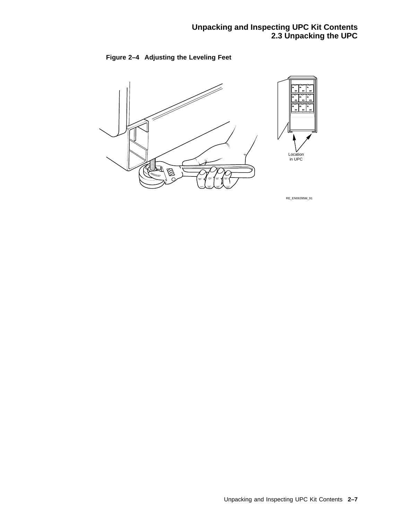

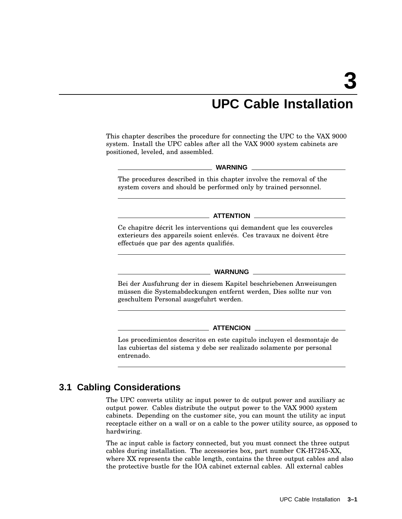# **UPC Cable Installation**

This chapter describes the procedure for connecting the UPC to the VAX 9000 system. Install the UPC cables after all the VAX 9000 system cabinets are positioned, leveled, and assembled.

#### **WARNING**

The procedures described in this chapter involve the removal of the system covers and should be performed only by trained personnel.

**ATTENTION**

Ce chapitre décrit les interventions qui demandent que les couvercles exterieurs des appareils soient enlevés. Ces travaux ne doivent être effectués que par des agents qualifiés.

#### **WARNUNG**

Bei der Ausfuhrung der in diesem Kapitel beschriebenen Anweisungen müssen die Systemabdeckungen entfernt werden, Dies sollte nur von geschultem Personal ausgefuhrt werden.

#### **ATTENCION**

Los procedimientos descritos en este capitulo incluyen el desmontaje de las cubiertas del sistema y debe ser realizado solamente por personal entrenado.

# **3.1 Cabling Considerations**

The UPC converts utility ac input power to dc output power and auxiliary ac output power. Cables distribute the output power to the VAX 9000 system cabinets. Depending on the customer site, you can mount the utility ac input receptacle either on a wall or on a cable to the power utility source, as opposed to hardwiring.

The ac input cable is factory connected, but you must connect the three output cables during installation. The accessories box, part number CK-H7245-XX, where XX represents the cable length, contains the three output cables and also the protective bustle for the IOA cabinet external cables. All external cables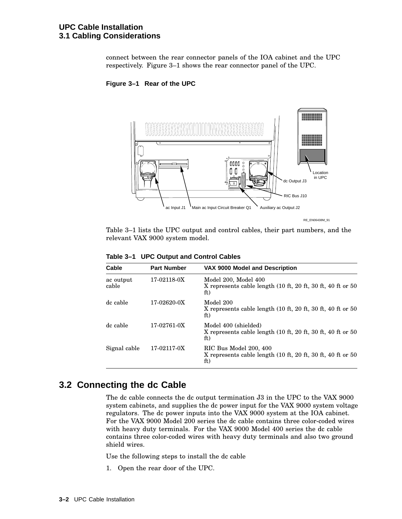### **UPC Cable Installation 3.1 Cabling Considerations**

connect between the rear connector panels of the IOA cabinet and the UPC respectively. Figure 3–1 shows the rear connector panel of the UPC.





Table 3–1 lists the UPC output and control cables, their part numbers, and the relevant VAX 9000 system model.

| Cable              | <b>Part Number</b> | VAX 9000 Model and Description                                                               |
|--------------------|--------------------|----------------------------------------------------------------------------------------------|
| ac output<br>cable | 17-02118-0X        | Model 200, Model 400<br>X represents cable length (10 ft, 20 ft, 30 ft, 40 ft or 50<br>ft)   |
| dc cable           | 17-02620-0X        | Model 200<br>X represents cable length (10 ft, 20 ft, 30 ft, 40 ft or 50<br>ft)              |
| de cable           | 17-02761-0X        | Model 400 (shielded)<br>X represents cable length (10 ft, 20 ft, 30 ft, 40 ft or 50<br>ft)   |
| Signal cable       | 17-02117-0X        | RIC Bus Model 200, 400<br>X represents cable length (10 ft, 20 ft, 30 ft, 40 ft or 50<br>ft) |

**Table 3–1 UPC Output and Control Cables**

## **3.2 Connecting the dc Cable**

The dc cable connects the dc output termination J3 in the UPC to the VAX 9000 system cabinets, and supplies the dc power input for the VAX 9000 system voltage regulators. The dc power inputs into the VAX 9000 system at the IOA cabinet. For the VAX 9000 Model 200 series the dc cable contains three color-coded wires with heavy duty terminals. For the VAX 9000 Model 400 series the dc cable contains three color-coded wires with heavy duty terminals and also two ground shield wires.

Use the following steps to install the dc cable

1. Open the rear door of the UPC.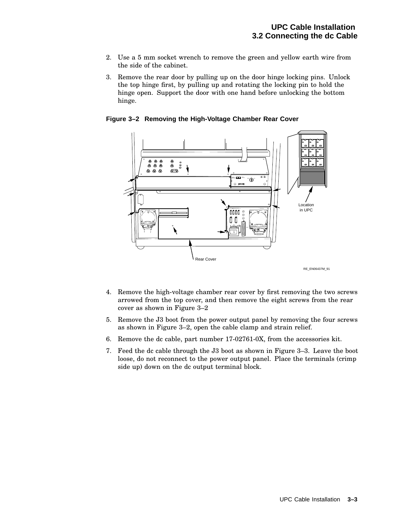- 2. Use a 5 mm socket wrench to remove the green and yellow earth wire from the side of the cabinet.
- 3. Remove the rear door by pulling up on the door hinge locking pins. Unlock the top hinge first, by pulling up and rotating the locking pin to hold the hinge open. Support the door with one hand before unlocking the bottom hinge.

**Figure 3–2 Removing the High-Voltage Chamber Rear Cover**



- 4. Remove the high-voltage chamber rear cover by first removing the two screws arrowed from the top cover, and then remove the eight screws from the rear cover as shown in Figure 3–2
- 5. Remove the J3 boot from the power output panel by removing the four screws as shown in Figure 3–2, open the cable clamp and strain relief.
- 6. Remove the dc cable, part number 17-02761-0X, from the accessories kit.
- 7. Feed the dc cable through the J3 boot as shown in Figure 3–3. Leave the boot loose, do not reconnect to the power output panel. Place the terminals (crimp side up) down on the dc output terminal block.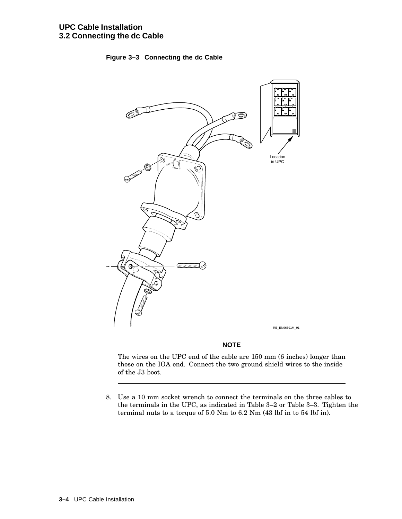



The wires on the UPC end of the cable are 150 mm (6 inches) longer than those on the IOA end. Connect the two ground shield wires to the inside of the J3 boot.

8. Use a 10 mm socket wrench to connect the terminals on the three cables to the terminals in the UPC, as indicated in Table 3–2 or Table 3–3. Tighten the terminal nuts to a torque of 5.0 Nm to 6.2 Nm (43 lbf in to 54 lbf in).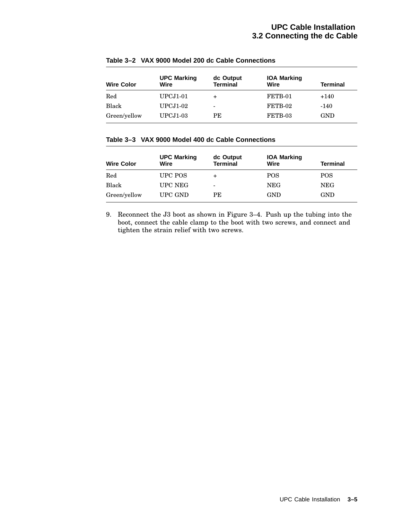### **UPC Cable Installation 3.2 Connecting the dc Cable**

| <b>Wire Color</b> | <b>UPC Marking</b><br>Wire | dc Output<br><b>Terminal</b> | <b>IOA Marking</b><br>Wire | Terminal |
|-------------------|----------------------------|------------------------------|----------------------------|----------|
| Red               | UPCJ1-01                   | $+$                          | FETB-01                    | $+140$   |
| Black             | $UPCJ1-02$                 | ٠                            | FETB-02                    | $-140$   |
| Green/yellow      | UPCJ1-03                   | PE                           | FETB-03                    | GND      |

### **Table 3–2 VAX 9000 Model 200 dc Cable Connections**

### **Table 3–3 VAX 9000 Model 400 dc Cable Connections**

| <b>Wire Color</b> | <b>UPC Marking</b><br>Wire | dc Output<br><b>Terminal</b> | <b>IOA Marking</b><br>Wire | <b>Terminal</b> |
|-------------------|----------------------------|------------------------------|----------------------------|-----------------|
| $_{\rm Red}$      | UPC POS                    | $\div$                       | <b>POS</b>                 | <b>POS</b>      |
| Black             | UPC NEG                    | $\overline{\phantom{a}}$     | <b>NEG</b>                 | <b>NEG</b>      |
| Green/yellow      | UPC GND                    | РE                           | GND                        | GND             |

9. Reconnect the J3 boot as shown in Figure 3–4. Push up the tubing into the boot, connect the cable clamp to the boot with two screws, and connect and tighten the strain relief with two screws.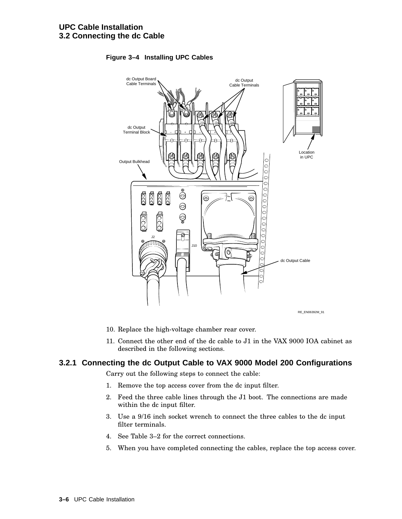

### **Figure 3–4 Installing UPC Cables**

- 10. Replace the high-voltage chamber rear cover.
- 11. Connect the other end of the dc cable to J1 in the VAX 9000 IOA cabinet as described in the following sections.

### **3.2.1 Connecting the dc Output Cable to VAX 9000 Model 200 Configurations**

Carry out the following steps to connect the cable:

- 1. Remove the top access cover from the dc input filter.
- 2. Feed the three cable lines through the J1 boot. The connections are made within the dc input filter.
- 3. Use a 9/16 inch socket wrench to connect the three cables to the dc input filter terminals.
- 4. See Table 3–2 for the correct connections.
- 5. When you have completed connecting the cables, replace the top access cover.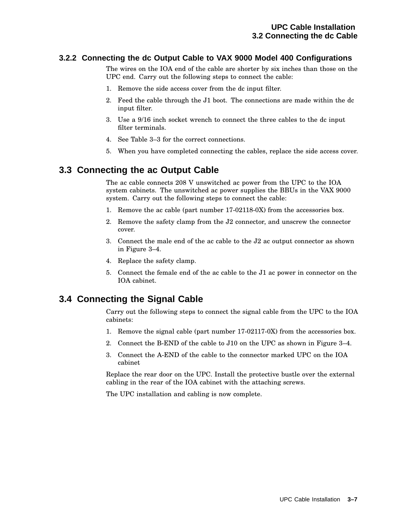### **3.2.2 Connecting the dc Output Cable to VAX 9000 Model 400 Configurations**

The wires on the IOA end of the cable are shorter by six inches than those on the UPC end. Carry out the following steps to connect the cable:

- 1. Remove the side access cover from the dc input filter.
- 2. Feed the cable through the J1 boot. The connections are made within the dc input filter.
- 3. Use a 9/16 inch socket wrench to connect the three cables to the dc input filter terminals.
- 4. See Table 3–3 for the correct connections.
- 5. When you have completed connecting the cables, replace the side access cover.

# **3.3 Connecting the ac Output Cable**

The ac cable connects 208 V unswitched ac power from the UPC to the IOA system cabinets. The unswitched ac power supplies the BBUs in the VAX 9000 system. Carry out the following steps to connect the cable:

- 1. Remove the ac cable (part number 17-02118-0X) from the accessories box.
- 2. Remove the safety clamp from the J2 connector, and unscrew the connector cover.
- 3. Connect the male end of the ac cable to the J2 ac output connector as shown in Figure 3–4.
- 4. Replace the safety clamp.
- 5. Connect the female end of the ac cable to the J1 ac power in connector on the IOA cabinet.

# **3.4 Connecting the Signal Cable**

Carry out the following steps to connect the signal cable from the UPC to the IOA cabinets:

- 1. Remove the signal cable (part number 17-02117-0X) from the accessories box.
- 2. Connect the B-END of the cable to J10 on the UPC as shown in Figure 3–4.
- 3. Connect the A-END of the cable to the connector marked UPC on the IOA cabinet

Replace the rear door on the UPC. Install the protective bustle over the external cabling in the rear of the IOA cabinet with the attaching screws.

The UPC installation and cabling is now complete.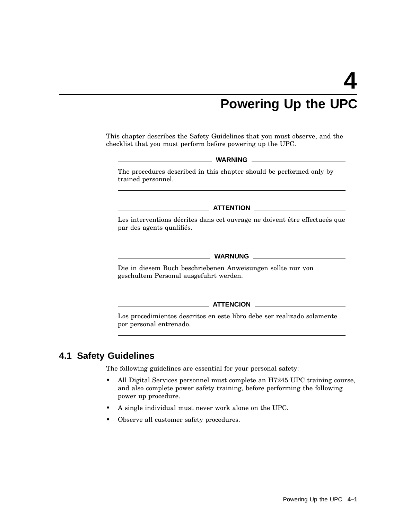# **Powering Up the UPC**

This chapter describes the Safety Guidelines that you must observe, and the checklist that you must perform before powering up the UPC.

### **WARNING**

The procedures described in this chapter should be performed only by trained personnel.

**ATTENTION**

Les interventions décrites dans cet ouvrage ne doivent être effectueés que par des agents qualifiés.

### **WARNUNG**

Die in diesem Buch beschriebenen Anweisungen sollte nur von geschultem Personal ausgefuhrt werden.

### **ATTENCION**

Los procedimientos descritos en este libro debe ser realizado solamente por personal entrenado.

# **4.1 Safety Guidelines**

The following guidelines are essential for your personal safety:

- All Digital Services personnel must complete an H7245 UPC training course, and also complete power safety training, before performing the following power up procedure.
- A single individual must never work alone on the UPC.
- Observe all customer safety procedures.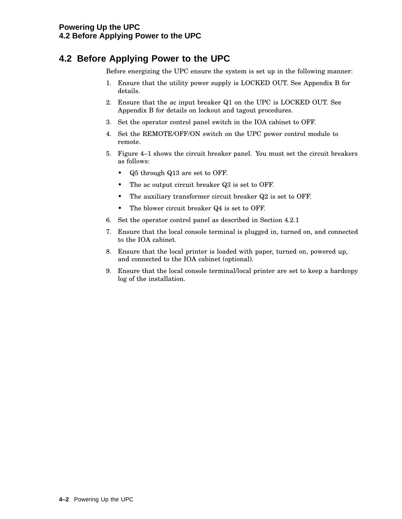# **4.2 Before Applying Power to the UPC**

Before energizing the UPC ensure the system is set up in the following manner:

- 1. Ensure that the utility power supply is LOCKED OUT. See Appendix B for details.
- 2. Ensure that the ac input breaker Q1 on the UPC is LOCKED OUT. See Appendix B for details on lockout and tagout procedures.
- 3. Set the operator control panel switch in the IOA cabinet to OFF.
- 4. Set the REMOTE/OFF/ON switch on the UPC power control module to remote.
- 5. Figure 4–1 shows the circuit breaker panel. You must set the circuit breakers as follows:
	- Q5 through Q13 are set to OFF.
	- The ac output circuit breaker Q3 is set to OFF.
	- The auxiliary transformer circuit breaker Q2 is set to OFF.
	- The blower circuit breaker Q4 is set to OFF.
- 6. Set the operator control panel as described in Section 4.2.1
- 7. Ensure that the local console terminal is plugged in, turned on, and connected to the IOA cabinet.
- 8. Ensure that the local printer is loaded with paper, turned on, powered up, and connected to the IOA cabinet (optional).
- 9. Ensure that the local console terminal/local printer are set to keep a hardcopy log of the installation.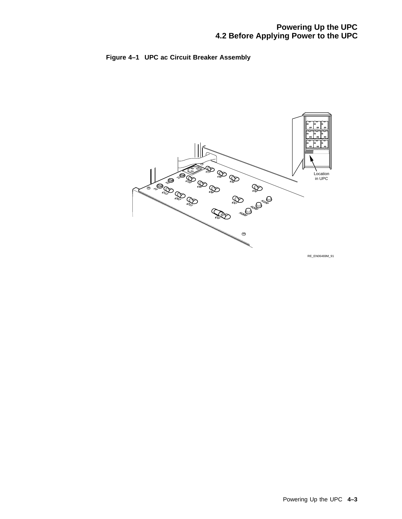



RE\_EN06469M\_91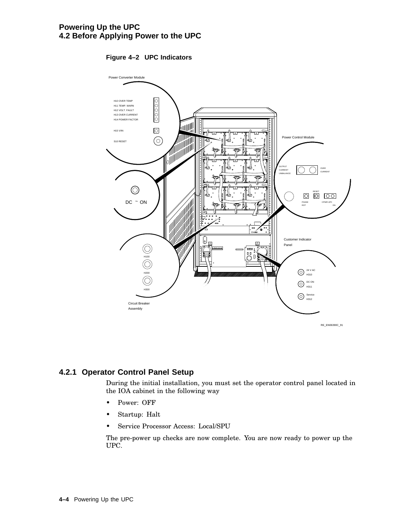### **Powering Up the UPC 4.2 Before Applying Power to the UPC**

**Figure 4–2 UPC Indicators**



## **4.2.1 Operator Control Panel Setup**

During the initial installation, you must set the operator control panel located in the IOA cabinet in the following way

- Power: OFF
- Startup: Halt
- Service Processor Access: Local/SPU

The pre-power up checks are now complete. You are now ready to power up the UPC.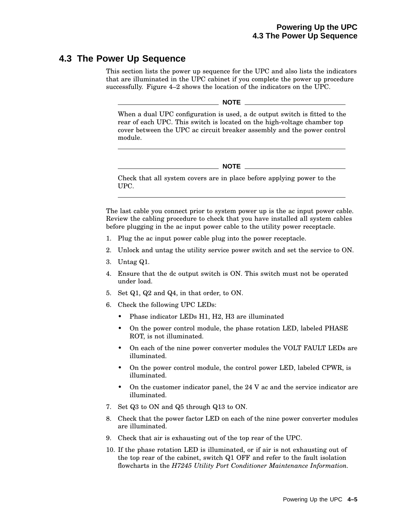# **4.3 The Power Up Sequence**

This section lists the power up sequence for the UPC and also lists the indicators that are illuminated in the UPC cabinet if you complete the power up procedure successfully. Figure 4–2 shows the location of the indicators on the UPC.

**NOTE**

When a dual UPC configuration is used, a dc output switch is fitted to the rear of each UPC. This switch is located on the high-voltage chamber top cover between the UPC ac circuit breaker assembly and the power control module.

 $\_$  NOTE  $\_$ 

Check that all system covers are in place before applying power to the UPC.

The last cable you connect prior to system power up is the ac input power cable. Review the cabling procedure to check that you have installed all system cables before plugging in the ac input power cable to the utility power receptacle.

- 1. Plug the ac input power cable plug into the power receptacle.
- 2. Unlock and untag the utility service power switch and set the service to ON.
- 3. Untag Q1.
- 4. Ensure that the dc output switch is ON. This switch must not be operated under load.
- 5. Set Q1, Q2 and Q4, in that order, to ON.
- 6. Check the following UPC LEDs:
	- Phase indicator LEDs H1, H2, H3 are illuminated
	- On the power control module, the phase rotation LED, labeled PHASE ROT, is not illuminated.
	- On each of the nine power converter modules the VOLT FAULT LEDs are illuminated.
	- On the power control module, the control power LED, labeled CPWR, is illuminated.
	- On the customer indicator panel, the  $24$  V ac and the service indicator are illuminated.
- 7. Set Q3 to ON and Q5 through Q13 to ON.
- 8. Check that the power factor LED on each of the nine power converter modules are illuminated.
- 9. Check that air is exhausting out of the top rear of the UPC.
- 10. If the phase rotation LED is illuminated, or if air is not exhausting out of the top rear of the cabinet, switch Q1 OFF and refer to the fault isolation flowcharts in the *H7245 Utility Port Conditioner Maintenance Information.*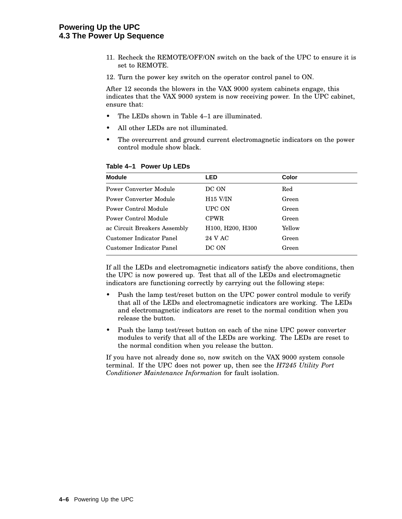- 11. Recheck the REMOTE/OFF/ON switch on the back of the UPC to ensure it is set to REMOTE.
- 12. Turn the power key switch on the operator control panel to ON.

After 12 seconds the blowers in the VAX 9000 system cabinets engage, this indicates that the VAX 9000 system is now receiving power. In the UPC cabinet, ensure that:

- The LEDs shown in Table 4–1 are illuminated.
- All other LEDs are not illuminated.
- The overcurrent and ground current electromagnetic indicators on the power control module show black.

| LED                                                    | Color  |
|--------------------------------------------------------|--------|
| DC ON                                                  | Red    |
| $H15$ V/IN                                             | Green  |
| UPC ON                                                 | Green  |
| <b>CPWR</b>                                            | Green  |
| H <sub>100</sub> , H <sub>200</sub> , H <sub>300</sub> | Yellow |
| 24 V AC                                                | Green  |
| DC ON                                                  | Green  |
|                                                        |        |

**Table 4–1 Power Up LEDs**

If all the LEDs and electromagnetic indicators satisfy the above conditions, then the UPC is now powered up. Test that all of the LEDs and electromagnetic indicators are functioning correctly by carrying out the following steps:

- Push the lamp test/reset button on the UPC power control module to verify that all of the LEDs and electromagnetic indicators are working. The LEDs and electromagnetic indicators are reset to the normal condition when you release the button.
- Push the lamp test/reset button on each of the nine UPC power converter modules to verify that all of the LEDs are working. The LEDs are reset to the normal condition when you release the button.

If you have not already done so, now switch on the VAX 9000 system console terminal. If the UPC does not power up, then see the *H7245 Utility Port Conditioner Maintenance Information* for fault isolation.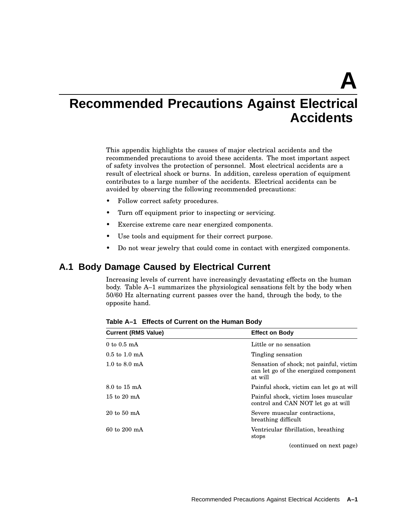**A**

# **Recommended Precautions Against Electrical Accidents**

This appendix highlights the causes of major electrical accidents and the recommended precautions to avoid these accidents. The most important aspect of safety involves the protection of personnel. Most electrical accidents are a result of electrical shock or burns. In addition, careless operation of equipment contributes to a large number of the accidents. Electrical accidents can be avoided by observing the following recommended precautions:

- Follow correct safety procedures.
- Turn off equipment prior to inspecting or servicing.
- Exercise extreme care near energized components.
- Use tools and equipment for their correct purpose.
- Do not wear jewelry that could come in contact with energized components.

# **A.1 Body Damage Caused by Electrical Current**

Increasing levels of current have increasingly devastating effects on the human body. Table A–1 summarizes the physiological sensations felt by the body when 50/60 Hz alternating current passes over the hand, through the body, to the opposite hand.

| <b>Current (RMS Value)</b>       | <b>Effect on Body</b>                                                                       |
|----------------------------------|---------------------------------------------------------------------------------------------|
| $0 \text{ to } 0.5 \text{ mA}$   | Little or no sensation                                                                      |
| $0.5$ to $1.0$ mA                | Tingling sensation                                                                          |
| $1.0 \text{ to } 8.0 \text{ mA}$ | Sensation of shock; not painful, victim<br>can let go of the energized component<br>at will |
| 8.0 to 15 mA                     | Painful shock, victim can let go at will                                                    |
| $15 \text{ to } 20 \text{ mA}$   | Painful shock, victim loses muscular<br>control and CAN NOT let go at will                  |
| $20 \text{ to } 50 \text{ mA}$   | Severe muscular contractions,<br>breathing difficult                                        |
| 60 to 200 mA                     | Ventricular fibrillation, breathing<br>stops                                                |
|                                  | (continued on next page)                                                                    |

**Table A–1 Effects of Current on the Human Body**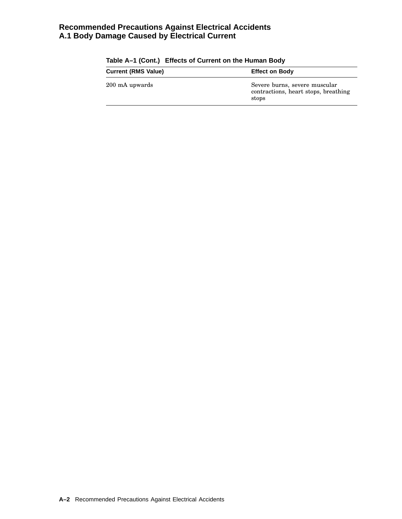## **Recommended Precautions Against Electrical Accidents A.1 Body Damage Caused by Electrical Current**

| <b>Current (RMS Value)</b> | <b>Effect on Body</b>                                                          |
|----------------------------|--------------------------------------------------------------------------------|
| 200 mA upwards             | Severe burns, severe muscular<br>contractions, heart stops, breathing<br>stops |

## **Table A–1 (Cont.) Effects of Current on the Human Body**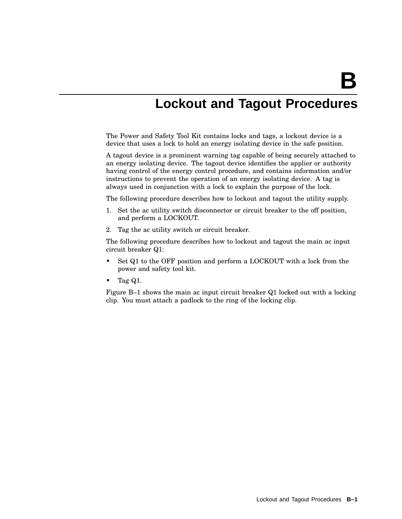**B**

# **Lockout and Tagout Procedures**

The Power and Safety Tool Kit contains locks and tags, a lockout device is a device that uses a lock to hold an energy isolating device in the safe position.

A tagout device is a prominent warning tag capable of being securely attached to an energy isolating device. The tagout device identifies the applier or authority having control of the energy control procedure, and contains information and/or instructions to prevent the operation of an energy isolating device. A tag is always used in conjunction with a lock to explain the purpose of the lock.

The following procedure describes how to lockout and tagout the utility supply.

- 1. Set the ac utility switch disconnector or circuit breaker to the off position, and perform a LOCKOUT.
- 2. Tag the ac utility switch or circuit breaker.

The following procedure describes how to lockout and tagout the main ac input circuit breaker Q1:

- Set Q1 to the OFF position and perform a LOCKOUT with a lock from the power and safety tool kit.
- Tag Q1.

Figure B–1 shows the main ac input circuit breaker Q1 locked out with a locking clip. You must attach a padlock to the ring of the locking clip.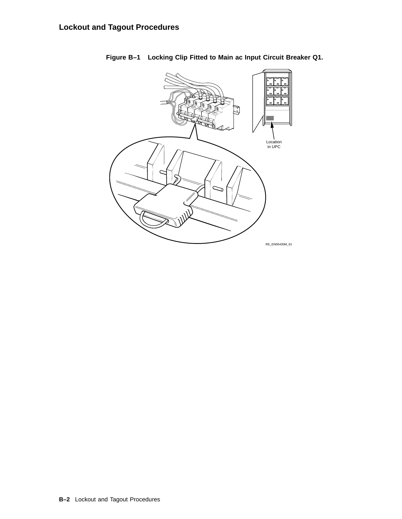

**Figure B–1 Locking Clip Fitted to Main ac Input Circuit Breaker Q1.**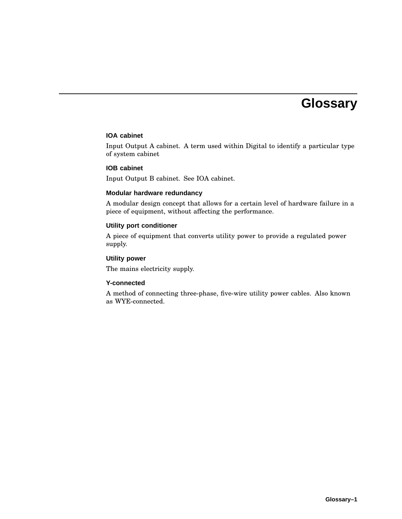# **Glossary**

### **IOA cabinet**

Input Output A cabinet. A term used within Digital to identify a particular type of system cabinet

#### **IOB cabinet**

Input Output B cabinet. See IOA cabinet.

### **Modular hardware redundancy**

A modular design concept that allows for a certain level of hardware failure in a piece of equipment, without affecting the performance.

### **Utility port conditioner**

A piece of equipment that converts utility power to provide a regulated power supply.

### **Utility power**

The mains electricity supply.

### **Y-connected**

A method of connecting three-phase, five-wire utility power cables. Also known as WYE-connected.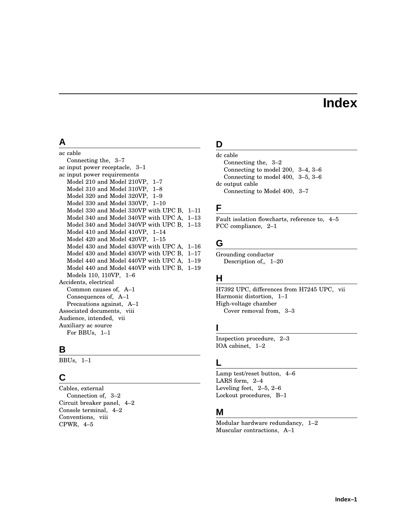# **Index**

## **A**

ac cable Connecting the, 3–7 ac input power receptacle, 3–1 ac input power requirements Model 210 and Model 210VP, 1–7 Model 310 and Model 310VP, 1–8 Model 320 and Model 320VP, 1–9 Model 330 and Model 330VP, 1–10 Model 330 and Model 330VP with UPC B, 1–11 Model 340 and Model 340VP with UPC A, 1–13 Model 340 and Model 340VP with UPC B, 1–13 Model 410 and Model 410VP, 1–14 Model 420 and Model 420VP, 1–15 Model 430 and Model 430VP with UPC A, 1–16 Model 430 and Model 430VP with UPC B, 1–17 Model 440 and Model 440VP with UPC A, 1–19 Model 440 and Model 440VP with UPC B, 1–19 Models 110, 110VP, 1–6 Accidents, electrical Common causes of, A–1 Consequences of, A–1 Precautions against, A–1 Associated documents, viii Audience, intended, vii Auxiliary ac source For BBUs, 1–1

### **B**

BBUs, 1–1

# **C**

Cables, external Connection of, 3–2 Circuit breaker panel, 4–2 Console terminal, 4–2 Conventions, viii CPWR, 4–5

# **D**

dc cable Connecting the, 3–2 Connecting to model 200, 3–4, 3–6 Connecting to model 400, 3–5, 3–6 dc output cable Connecting to Model 400, 3–7

## **F**

Fault isolation flowcharts, reference to, 4–5 FCC compliance, 2–1

# **G**

Grounding conductor Description of,, 1–20

# **H**

H7392 UPC, differences from H7245 UPC, vii Harmonic distortion, 1–1 High-voltage chamber Cover removal from, 3–3

## **I**

Inspection procedure, 2–3 IOA cabinet, 1–2

## **L**

Lamp test/reset button, 4–6 LARS form, 2–4 Leveling feet, 2–5, 2–6 Lockout procedures, B–1

### **M**

Modular hardware redundancy, 1–2 Muscular contractions, A–1